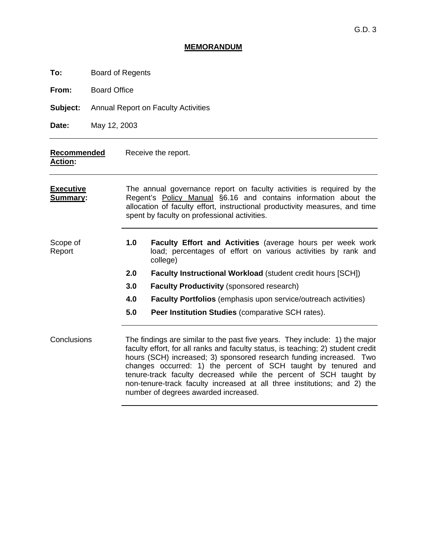## **MEMORANDUM**

**To:** Board of Regents

**From:** Board Office

**Subject:** Annual Report on Faculty Activities

**Date:** May 12, 2003

| <b>Recommended</b><br><u>Action:</u> |     | Receive the report.                                                                                                                                                                                                                                                                                                                                                                                                                                                                              |  |  |  |  |
|--------------------------------------|-----|--------------------------------------------------------------------------------------------------------------------------------------------------------------------------------------------------------------------------------------------------------------------------------------------------------------------------------------------------------------------------------------------------------------------------------------------------------------------------------------------------|--|--|--|--|
| <b>Executive</b><br>Summary:         |     | The annual governance report on faculty activities is required by the<br>Regent's Policy Manual §6.16 and contains information about the<br>allocation of faculty effort, instructional productivity measures, and time<br>spent by faculty on professional activities.                                                                                                                                                                                                                          |  |  |  |  |
| Scope of<br>Report                   | 1.0 | Faculty Effort and Activities (average hours per week work<br>load; percentages of effort on various activities by rank and<br>college)                                                                                                                                                                                                                                                                                                                                                          |  |  |  |  |
|                                      | 2.0 | <b>Faculty Instructional Workload (student credit hours [SCH])</b>                                                                                                                                                                                                                                                                                                                                                                                                                               |  |  |  |  |
|                                      | 3.0 | <b>Faculty Productivity (sponsored research)</b>                                                                                                                                                                                                                                                                                                                                                                                                                                                 |  |  |  |  |
|                                      | 4.0 | <b>Faculty Portfolios</b> (emphasis upon service/outreach activities)                                                                                                                                                                                                                                                                                                                                                                                                                            |  |  |  |  |
|                                      | 5.0 | Peer Institution Studies (comparative SCH rates).                                                                                                                                                                                                                                                                                                                                                                                                                                                |  |  |  |  |
| Conclusions                          |     | The findings are similar to the past five years. They include: 1) the major<br>faculty effort, for all ranks and faculty status, is teaching; 2) student credit<br>hours (SCH) increased; 3) sponsored research funding increased. Two<br>changes occurred: 1) the percent of SCH taught by tenured and<br>tenure-track faculty decreased while the percent of SCH taught by<br>non-tenure-track faculty increased at all three institutions; and 2) the<br>number of degrees awarded increased. |  |  |  |  |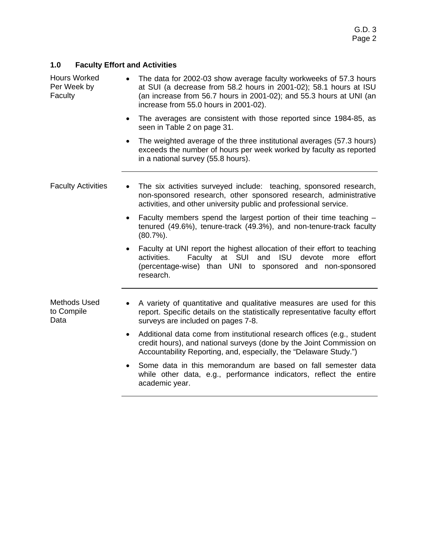## **1.0 Faculty Effort and Activities**

| Hours Worked | • The data for 2002-03 show average faculty workweeks of 57.3 hours |
|--------------|---------------------------------------------------------------------|
| Per Week by  | at SUI (a decrease from 58.2 hours in 2001-02); 58.1 hours at ISU   |
| Faculty      | (an increase from 56.7 hours in 2001-02); and 55.3 hours at UNI (an |
|              | increase from 55.0 hours in 2001-02).                               |

- The averages are consistent with those reported since 1984-85, as seen in Table 2 on page 31.
- The weighted average of the three institutional averages (57.3 hours) exceeds the number of hours per week worked by faculty as reported in a national survey (55.8 hours).

Data

- Faculty Activities The six activities surveyed include: teaching, sponsored research, non-sponsored research, other sponsored research, administrative activities, and other university public and professional service.
	- Faculty members spend the largest portion of their time teaching tenured (49.6%), tenure-track (49.3%), and non-tenure-track faculty (80.7%).
	- Faculty at UNI report the highest allocation of their effort to teaching activities. Faculty at SUI and ISU devote more effort (percentage-wise) than UNI to sponsored and non-sponsored research.
- Methods Used to Compile • A variety of quantitative and qualitative measures are used for this report. Specific details on the statistically representative faculty effort surveys are included on pages 7-8.
	- Additional data come from institutional research offices (e.g., student credit hours), and national surveys (done by the Joint Commission on Accountability Reporting, and, especially, the "Delaware Study.")
	- Some data in this memorandum are based on fall semester data while other data, e.g., performance indicators, reflect the entire academic year.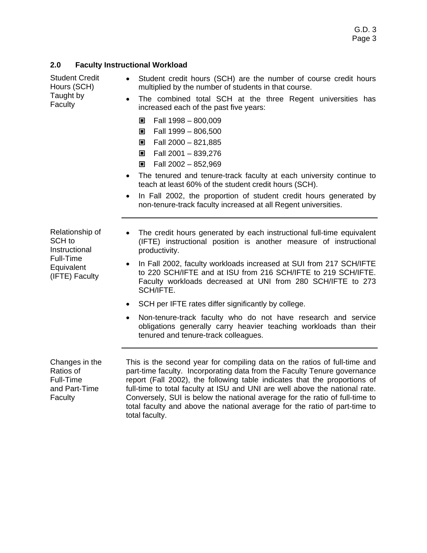G.D. 3 Page 3

## **2.0 Faculty Instructional Workload**

| <b>Student Credit</b><br>Hours (SCH)<br>Taught by<br>Faculty         | Student credit hours (SCH) are the number of course credit hours<br>$\bullet$<br>multiplied by the number of students in that course.<br>The combined total SCH at the three Regent universities has<br>$\bullet$<br>increased each of the past five years:                                                                                                                                                                                                                    |  |  |
|----------------------------------------------------------------------|--------------------------------------------------------------------------------------------------------------------------------------------------------------------------------------------------------------------------------------------------------------------------------------------------------------------------------------------------------------------------------------------------------------------------------------------------------------------------------|--|--|
|                                                                      | ▣<br>Fall 1998 - 800,009                                                                                                                                                                                                                                                                                                                                                                                                                                                       |  |  |
|                                                                      | Fall 1999 - 806,500<br>о                                                                                                                                                                                                                                                                                                                                                                                                                                                       |  |  |
|                                                                      | Fall 2000 - 821,885<br>о<br>Fall 2001 - 839,276<br>▣                                                                                                                                                                                                                                                                                                                                                                                                                           |  |  |
|                                                                      | Fall 2002 - 852,969<br>回                                                                                                                                                                                                                                                                                                                                                                                                                                                       |  |  |
|                                                                      | The tenured and tenure-track faculty at each university continue to<br>teach at least 60% of the student credit hours (SCH).                                                                                                                                                                                                                                                                                                                                                   |  |  |
|                                                                      | In Fall 2002, the proportion of student credit hours generated by<br>$\bullet$<br>non-tenure-track faculty increased at all Regent universities.                                                                                                                                                                                                                                                                                                                               |  |  |
| Relationship of<br>SCH to<br>Instructional                           | The credit hours generated by each instructional full-time equivalent<br>(IFTE) instructional position is another measure of instructional<br>productivity.                                                                                                                                                                                                                                                                                                                    |  |  |
| Full-Time<br>Equivalent<br>(IFTE) Faculty                            | In Fall 2002, faculty workloads increased at SUI from 217 SCH/IFTE<br>to 220 SCH/IFTE and at ISU from 216 SCH/IFTE to 219 SCH/IFTE.<br>Faculty workloads decreased at UNI from 280 SCH/IFTE to 273<br>SCH/IFTE.                                                                                                                                                                                                                                                                |  |  |
|                                                                      | SCH per IFTE rates differ significantly by college.                                                                                                                                                                                                                                                                                                                                                                                                                            |  |  |
|                                                                      | Non-tenure-track faculty who do not have research and service<br>obligations generally carry heavier teaching workloads than their<br>tenured and tenure-track colleagues.                                                                                                                                                                                                                                                                                                     |  |  |
| Changes in the<br>Ratios of<br>Full-Time<br>and Part-Time<br>Faculty | This is the second year for compiling data on the ratios of full-time and<br>part-time faculty. Incorporating data from the Faculty Tenure governance<br>report (Fall 2002), the following table indicates that the proportions of<br>full-time to total faculty at ISU and UNI are well above the national rate.<br>Conversely, SUI is below the national average for the ratio of full-time to<br>total faculty and above the national overage for the ratio of part time to |  |  |

total faculty and above the national average for the ratio of part-time to total faculty.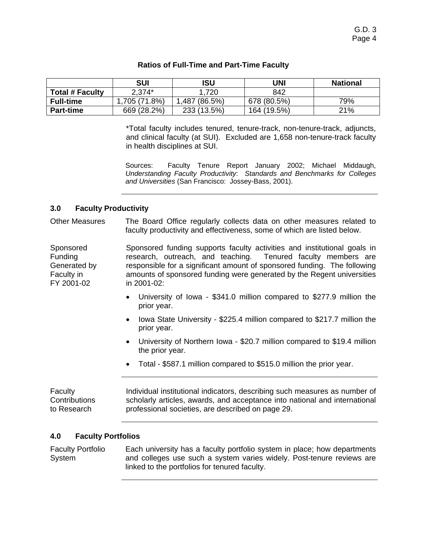|                        | SUI           | ISU          | UNI         | <b>National</b> |
|------------------------|---------------|--------------|-------------|-----------------|
| <b>Total # Faculty</b> | $2.374*$      | .720         | 842         |                 |
| <b>Full-time</b>       | 1.705 (71.8%) | ,487 (86.5%) | 678 (80.5%) | 79%             |
| <b>Part-time</b>       | 669 (28.2%)   | 233 (13.5%)  | 164 (19.5%) | 21%             |

### **Ratios of Full-Time and Part-Time Faculty**

 \*Total faculty includes tenured, tenure-track, non-tenure-track, adjuncts, and clinical faculty (at SUI). Excluded are 1,658 non-tenure-track faculty in health disciplines at SUI.

Sources: Faculty Tenure Report January 2002; Michael Middaugh, *Understanding Faculty Productivity*: *Standards and Benchmarks for Colleges and Universities* (San Francisco: Jossey-Bass, 2001).

#### **3.0 Faculty Productivity**

Other Measures The Board Office regularly collects data on other measures related to faculty productivity and effectiveness, some of which are listed below.

Sponsored Funding Generated by Faculty in FY 2001-02 Sponsored funding supports faculty activities and institutional goals in research, outreach, and teaching. Tenured faculty members are responsible for a significant amount of sponsored funding. The following amounts of sponsored funding were generated by the Regent universities in 2001-02:

- University of Iowa \$341.0 million compared to \$277.9 million the prior year.
- Iowa State University \$225.4 million compared to \$217.7 million the prior year.
- University of Northern Iowa \$20.7 million compared to \$19.4 million the prior year.
- Total \$587.1 million compared to \$515.0 million the prior year.

**Faculty Contributions** to Research Individual institutional indicators, describing such measures as number of scholarly articles, awards, and acceptance into national and international professional societies, are described on page 29.

#### **4.0 Faculty Portfolios**

Faculty Portfolio System Each university has a faculty portfolio system in place; how departments and colleges use such a system varies widely. Post-tenure reviews are linked to the portfolios for tenured faculty.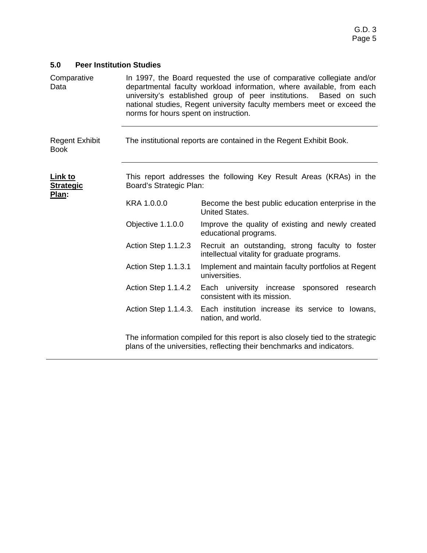## **5.0 Peer Institution Studies**

| Comparative<br>Data                  | In 1997, the Board requested the use of comparative collegiate and/or<br>departmental faculty workload information, where available, from each<br>university's established group of peer institutions.<br>Based on such<br>national studies, Regent university faculty members meet or exceed the<br>norms for hours spent on instruction. |                                                                                                                                                          |  |  |  |
|--------------------------------------|--------------------------------------------------------------------------------------------------------------------------------------------------------------------------------------------------------------------------------------------------------------------------------------------------------------------------------------------|----------------------------------------------------------------------------------------------------------------------------------------------------------|--|--|--|
| <b>Regent Exhibit</b><br><b>Book</b> | The institutional reports are contained in the Regent Exhibit Book.                                                                                                                                                                                                                                                                        |                                                                                                                                                          |  |  |  |
| Link to<br><b>Strategic</b><br>Plan: | This report addresses the following Key Result Areas (KRAs) in the<br>Board's Strategic Plan:                                                                                                                                                                                                                                              |                                                                                                                                                          |  |  |  |
|                                      | KRA 1.0.0.0                                                                                                                                                                                                                                                                                                                                | Become the best public education enterprise in the<br><b>United States.</b>                                                                              |  |  |  |
|                                      | Objective 1.1.0.0                                                                                                                                                                                                                                                                                                                          | Improve the quality of existing and newly created<br>educational programs.                                                                               |  |  |  |
|                                      | Action Step 1.1.2.3                                                                                                                                                                                                                                                                                                                        | Recruit an outstanding, strong faculty to foster<br>intellectual vitality for graduate programs.                                                         |  |  |  |
|                                      | Action Step 1.1.3.1                                                                                                                                                                                                                                                                                                                        | Implement and maintain faculty portfolios at Regent<br>universities.                                                                                     |  |  |  |
|                                      | Action Step 1.1.4.2                                                                                                                                                                                                                                                                                                                        | Each university increase sponsored<br>research<br>consistent with its mission.                                                                           |  |  |  |
|                                      | Action Step 1.1.4.3.                                                                                                                                                                                                                                                                                                                       | Each institution increase its service to lowans,<br>nation, and world.                                                                                   |  |  |  |
|                                      |                                                                                                                                                                                                                                                                                                                                            | The information compiled for this report is also closely tied to the strategic<br>plans of the universities, reflecting their benchmarks and indicators. |  |  |  |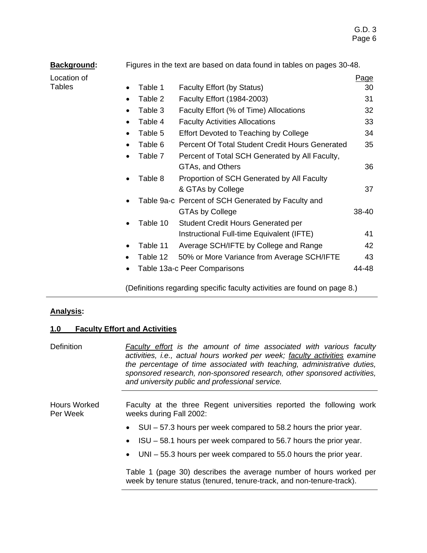| Background: | Figures in the text are based on data found in tables on pages 30-48. |                                                                           |       |  |
|-------------|-----------------------------------------------------------------------|---------------------------------------------------------------------------|-------|--|
| Location of |                                                                       |                                                                           | Page  |  |
| Tables      | Table 1                                                               | Faculty Effort (by Status)                                                | 30    |  |
|             | Table 2                                                               | Faculty Effort (1984-2003)                                                | 31    |  |
|             | Table 3                                                               | Faculty Effort (% of Time) Allocations                                    | 32    |  |
|             | Table 4                                                               | <b>Faculty Activities Allocations</b>                                     | 33    |  |
|             | Table 5                                                               | Effort Devoted to Teaching by College                                     | 34    |  |
|             | Table 6                                                               | <b>Percent Of Total Student Credit Hours Generated</b>                    | 35    |  |
|             | Table 7                                                               | Percent of Total SCH Generated by All Faculty,                            |       |  |
|             |                                                                       | GTAs, and Others                                                          | 36    |  |
|             | Table 8                                                               | Proportion of SCH Generated by All Faculty                                |       |  |
|             |                                                                       | & GTAs by College                                                         | 37    |  |
|             |                                                                       | Table 9a-c Percent of SCH Generated by Faculty and                        |       |  |
|             |                                                                       | <b>GTAs by College</b>                                                    | 38-40 |  |
|             | Table 10                                                              | <b>Student Credit Hours Generated per</b>                                 |       |  |
|             |                                                                       | Instructional Full-time Equivalent (IFTE)                                 | 41    |  |
|             | Table 11                                                              | Average SCH/IFTE by College and Range                                     | 42    |  |
|             | Table 12                                                              | 50% or More Variance from Average SCH/IFTE                                | 43    |  |
|             |                                                                       | Table 13a-c Peer Comparisons                                              | 44-48 |  |
|             |                                                                       | $(Definition a spacrdina anacifia facultu aatiidita a ra fauad an naaa0)$ |       |  |

(Definitions regarding specific faculty activities are found on page 8.)

## **Analysis:**

## **1.0 Faculty Effort and Activities**

| Definition                      | <b>Faculty effort</b> is the amount of time associated with various faculty<br>activities, i.e., actual hours worked per week; faculty activities examine<br>the percentage of time associated with teaching, administrative duties,<br>sponsored research, non-sponsored research, other sponsored activities,<br>and university public and professional service. |
|---------------------------------|--------------------------------------------------------------------------------------------------------------------------------------------------------------------------------------------------------------------------------------------------------------------------------------------------------------------------------------------------------------------|
| <b>Hours Worked</b><br>Per Week | Faculty at the three Regent universities reported the following work<br>weeks during Fall 2002:                                                                                                                                                                                                                                                                    |
|                                 | • SUI - 57.3 hours per week compared to 58.2 hours the prior year.                                                                                                                                                                                                                                                                                                 |

- ISU 58.1 hours per week compared to 56.7 hours the prior year.
- UNI 55.3 hours per week compared to 55.0 hours the prior year.

Table 1 (page 30) describes the average number of hours worked per week by tenure status (tenured, tenure-track, and non-tenure-track).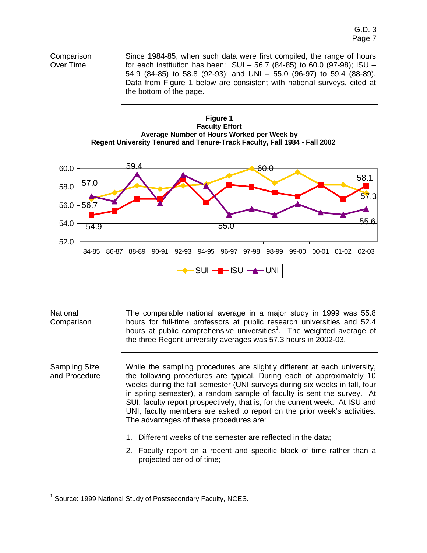**Comparison** Over Time

Since 1984-85, when such data were first compiled, the range of hours for each institution has been: SUI – 56.7 (84-85) to 60.0 (97-98); ISU – 54.9 (84-85) to 58.8 (92-93); and UNI – 55.0 (96-97) to 59.4 (88-89). Data from Figure 1 below are consistent with national surveys, cited at the bottom of the page.

**Figure 1 Faculty Effort Average Number of Hours Worked per Week by Regent University Tenured and Tenure-Track Faculty, Fall 1984 - Fall 2002** 



**National Comparison** The comparable national average in a major study in 1999 was 55.8 hours for full-time professors at public research universities and 52.4 hours at public comprehensive universities<sup>1</sup>. The weighted average of the three Regent university averages was 57.3 hours in 2002-03. Sampling Size and Procedure While the sampling procedures are slightly different at each university, the following procedures are typical. During each of approximately 10 weeks during the fall semester (UNI surveys during six weeks in fall, four in spring semester), a random sample of faculty is sent the survey. At SUI, faculty report prospectively, that is, for the current week. At ISU and UNI, faculty members are asked to report on the prior week's activities. The advantages of these procedures are:

- 1. Different weeks of the semester are reflected in the data;
- 2. Faculty report on a recent and specific block of time rather than a projected period of time;

<sup>&</sup>lt;sup>1</sup> Source: 1999 National Study of Postsecondary Faculty, NCES.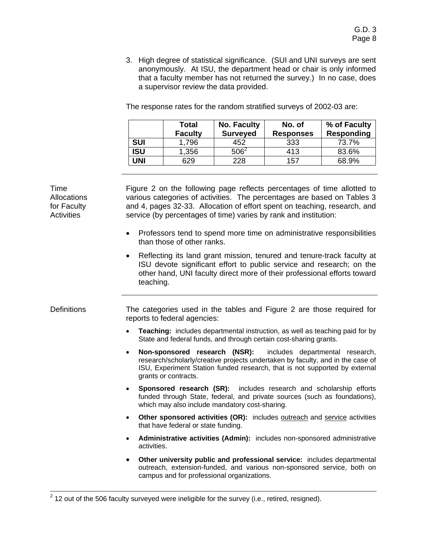3. High degree of statistical significance. (SUI and UNI surveys are sent anonymously. At ISU, the department head or chair is only informed that a faculty member has not returned the survey.) In no case, does a supervisor review the data provided.

The response rates for the random stratified surveys of 2002-03 are:

|            | Total<br><b>Faculty</b> | <b>No. Faculty</b><br><b>Surveyed</b> | No. of<br><b>Responses</b> | % of Faculty<br><b>Responding</b> |  |
|------------|-------------------------|---------------------------------------|----------------------------|-----------------------------------|--|
| <b>SUI</b> | 1,796                   | 452                                   | 333                        | 73.7%                             |  |
| ISU        | 1,356                   | $506^2$                               | 413                        | 83.6%                             |  |
| UNI        | 629                     | 228                                   | 157                        | 68.9%                             |  |

Time Allocations for Faculty **Activities** 

Figure 2 on the following page reflects percentages of time allotted to various categories of activities. The percentages are based on Tables 3 and 4, pages 32-33. Allocation of effort spent on teaching, research, and service (by percentages of time) varies by rank and institution:

- Professors tend to spend more time on administrative responsibilities than those of other ranks.
- Reflecting its land grant mission, tenured and tenure-track faculty at ISU devote significant effort to public service and research; on the other hand, UNI faculty direct more of their professional efforts toward teaching.

Definitions The categories used in the tables and Figure 2 are those required for reports to federal agencies:

- **Teaching:** includes departmental instruction, as well as teaching paid for by State and federal funds, and through certain cost-sharing grants.
- **Non-sponsored research (NSR):** includes departmental research, research/scholarly/creative projects undertaken by faculty, and in the case of ISU, Experiment Station funded research, that is not supported by external grants or contracts.
- **Sponsored research (SR):** includes research and scholarship efforts funded through State, federal, and private sources (such as foundations), which may also include mandatory cost-sharing.
- **Other sponsored activities (OR):** includes **outreach** and **service** activities that have federal or state funding.
- **Administrative activities (Admin):** includes non-sponsored administrative activities.
- **Other university public and professional service:** includes departmental outreach, extension-funded, and various non-sponsored service, both on campus and for professional organizations.

<sup>&</sup>lt;sup>2</sup> 12 out of the 506 faculty surveyed were ineligible for the survey (i.e., retired, resigned).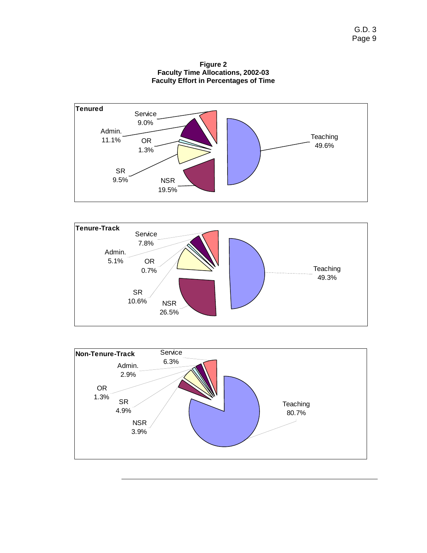**Figure 2 Faculty Time Allocations, 2002-03 Faculty Effort in Percentages of Time** 





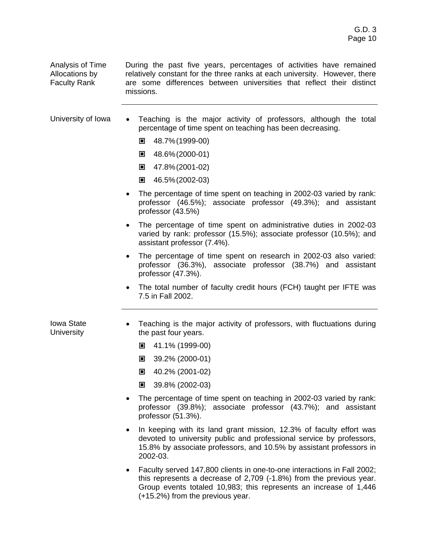Analysis of Time Allocations by Faculty Rank During the past five years, percentages of activities have remained relatively constant for the three ranks at each university. However, there are some differences between universities that reflect their distinct missions.

- University of Iowa Teaching is the major activity of professors, although the total percentage of time spent on teaching has been decreasing.
	- $\blacksquare$  48.7% (1999-00)
	- $\blacksquare$  48.6% (2000-01)
	- $\blacksquare$  47.8% (2001-02)
	- $\blacksquare$  46.5% (2002-03)
	- The percentage of time spent on teaching in 2002-03 varied by rank: professor (46.5%); associate professor (49.3%); and assistant professor (43.5%)
	- The percentage of time spent on administrative duties in 2002-03 varied by rank: professor (15.5%); associate professor (10.5%); and assistant professor (7.4%).
	- The percentage of time spent on research in 2002-03 also varied: professor (36.3%), associate professor (38.7%) and assistant professor (47.3%).
	- The total number of faculty credit hours (FCH) taught per IFTE was 7.5 in Fall 2002.
- Iowa State **University** • Teaching is the major activity of professors, with fluctuations during the past four years.
	- $\blacksquare$  41.1% (1999-00)
	- $\blacksquare$  39.2% (2000-01)
	- $\blacksquare$  40.2% (2001-02)
	- $\blacksquare$  39.8% (2002-03)
	- The percentage of time spent on teaching in 2002-03 varied by rank: professor (39.8%); associate professor (43.7%); and assistant professor (51.3%).
	- In keeping with its land grant mission, 12.3% of faculty effort was devoted to university public and professional service by professors, 15.8% by associate professors, and 10.5% by assistant professors in 2002-03.
	- Faculty served 147,800 clients in one-to-one interactions in Fall 2002; this represents a decrease of 2,709 (-1.8%) from the previous year. Group events totaled 10,983; this represents an increase of 1,446 (+15.2%) from the previous year.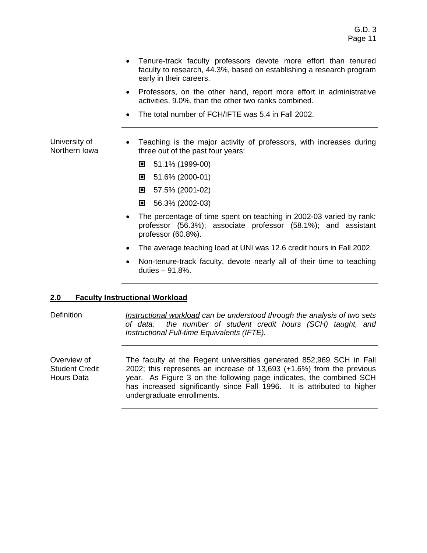- Tenure-track faculty professors devote more effort than tenured faculty to research, 44.3%, based on establishing a research program early in their careers.
- Professors, on the other hand, report more effort in administrative activities, 9.0%, than the other two ranks combined.
- The total number of FCH/IFTE was 5.4 in Fall 2002.
- University of Northern Iowa • Teaching is the major activity of professors, with increases during three out of the past four years:
	- $\blacksquare$  51.1% (1999-00)
	- $\blacksquare$  51.6% (2000-01)
	- $\blacksquare$  57.5% (2001-02)
	- $\blacksquare$  56.3% (2002-03)
	- The percentage of time spent on teaching in 2002-03 varied by rank: professor (56.3%); associate professor (58.1%); and assistant professor (60.8%).
	- The average teaching load at UNI was 12.6 credit hours in Fall 2002.
	- Non-tenure-track faculty, devote nearly all of their time to teaching duties – 91.8%.

#### **2.0 Faculty Instructional Workload**

Definition *Instructional workload can be understood through the analysis of two sets of data: the number of student credit hours (SCH) taught, and Instructional Full-time Equivalents (IFTE).*

Overview of Student Credit Hours Data The faculty at the Regent universities generated 852,969 SCH in Fall 2002; this represents an increase of 13,693 (+1.6%) from the previous year. As Figure 3 on the following page indicates, the combined SCH has increased significantly since Fall 1996. It is attributed to higher undergraduate enrollments.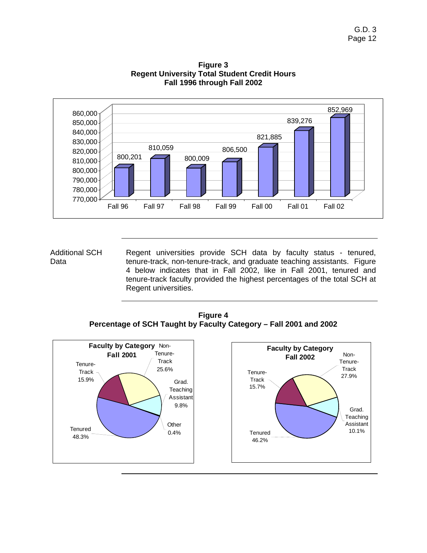

**Figure 3 Regent University Total Student Credit Hours Fall 1996 through Fall 2002**

Additional SCH Data

Regent universities provide SCH data by faculty status - tenured, tenure-track, non-tenure-track, and graduate teaching assistants. Figure 4 below indicates that in Fall 2002, like in Fall 2001, tenured and tenure-track faculty provided the highest percentages of the total SCH at Regent universities.

**Figure 4 Percentage of SCH Taught by Faculty Category – Fall 2001 and 2002** 

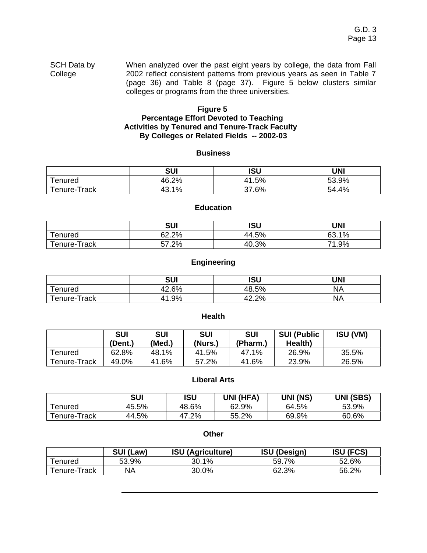SCH Data by College When analyzed over the past eight years by college, the data from Fall 2002 reflect consistent patterns from previous years as seen in Table 7 (page 36) and Table 8 (page 37). Figure 5 below clusters similar colleges or programs from the three universities.

### **Figure 5 Percentage Effort Devoted to Teaching Activities by Tenured and Tenure-Track Faculty By Colleges or Related Fields -- 2002-03**

#### **Business**

|                   | <b>SUI</b>            | <b>ISU</b>       | UNI       |
|-------------------|-----------------------|------------------|-----------|
| -<br>enured       | ົດທ/<br>16.<br>IO.∠70 | 1.5%<br>$\Delta$ | .9%<br>гο |
| $r$ ack<br>enure- | 1%<br>43              | .6%<br>າ         | 54.4%     |

#### **Education**

|                     | <b>SUI</b> | <b>ISU</b> | UNI        |
|---------------------|------------|------------|------------|
| enured <sup>-</sup> | 62.2%      | 44.5%      | 63.1%      |
| Геnure-Track        | .2%<br>c7  | 40.3%      | 1.9%<br>74 |

#### **Engineering**

|                 | <b>SUI</b> | <b>ISU</b> | UNI       |
|-----------------|------------|------------|-----------|
| enured          | 42.6%      | 48.5%      | <b>NA</b> |
| Track<br>enure- | 9%         | 42.2%      | <b>NA</b> |

#### **Health**

|              | <b>SUI</b><br>(Dent.) | <b>SUI</b><br>(Med.) | <b>SUI</b><br>(Nurs.) | <b>SUI</b><br>(Pharm.) | <b>SUI (Public</b><br>Health) | ISU (VM) |
|--------------|-----------------------|----------------------|-----------------------|------------------------|-------------------------------|----------|
| Tenured      | 62.8%                 | 48.1%                | 41.5%                 | 47.1%                  | 26.9%                         | 35.5%    |
| Tenure-Track | 49.0%                 | 41.6%                | 57.2%                 | 41.6%                  | 23.9%                         | 26.5%    |

#### **Liberal Arts**

|              | <b>SUI</b> | ISU   | UNI (HFA) | UNI (NS) | UNI (SBS) |
|--------------|------------|-------|-----------|----------|-----------|
| Tenured      | 45.5%      | 48.6% | 62.9%     | 64.5%    | 53.9%     |
| Tenure-Track | 44.5%      | 47.2% | 55.2%     | 69.9%    | 60.6%     |

#### **Other**

|               | SUI (Law) | <b>ISU (Agriculture)</b> | <b>ISU (Design)</b> | <b>ISU (FCS)</b> |
|---------------|-----------|--------------------------|---------------------|------------------|
| $\tau$ enured | 53.9%     | 30.1%                    | 59.7%               | 52.6%            |
| Tenure-Track  | NA        | 30.0%                    | 62.3%               | 56.2%            |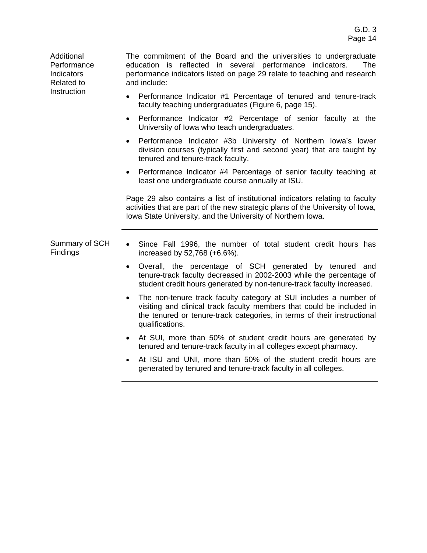Additional Performance Indicators Related to Instruction The commitment of the Board and the universities to undergraduate education is reflected in several performance indicators. The performance indicators listed on page 29 relate to teaching and research and include:

- Performance Indicator #1 Percentage of tenured and tenure-track faculty teaching undergraduates (Figure 6, page 15).
- Performance Indicator #2 Percentage of senior faculty at the University of Iowa who teach undergraduates.
- Performance Indicator #3b University of Northern Iowa's lower division courses (typically first and second year) that are taught by tenured and tenure-track faculty.
- Performance Indicator #4 Percentage of senior faculty teaching at least one undergraduate course annually at ISU.

Page 29 also contains a list of institutional indicators relating to faculty activities that are part of the new strategic plans of the University of Iowa, Iowa State University, and the University of Northern Iowa.

Summary of SCH Findings

- Since Fall 1996, the number of total student credit hours has increased by 52,768 (+6.6%).
	- Overall, the percentage of SCH generated by tenured and tenure-track faculty decreased in 2002-2003 while the percentage of student credit hours generated by non-tenure-track faculty increased.
	- The non-tenure track faculty category at SUI includes a number of visiting and clinical track faculty members that could be included in the tenured or tenure-track categories, in terms of their instructional qualifications.
	- At SUI, more than 50% of student credit hours are generated by tenured and tenure-track faculty in all colleges except pharmacy.
	- At ISU and UNI, more than 50% of the student credit hours are generated by tenured and tenure-track faculty in all colleges.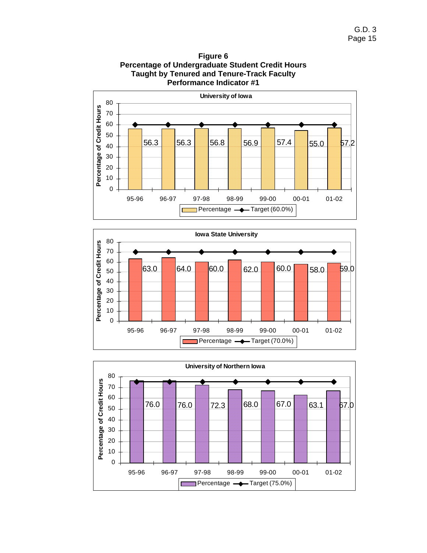

**Figure 6 Percentage of Undergraduate Student Credit Hours Taught by Tenured and Tenure-Track Faculty Performance Indicator #1** 



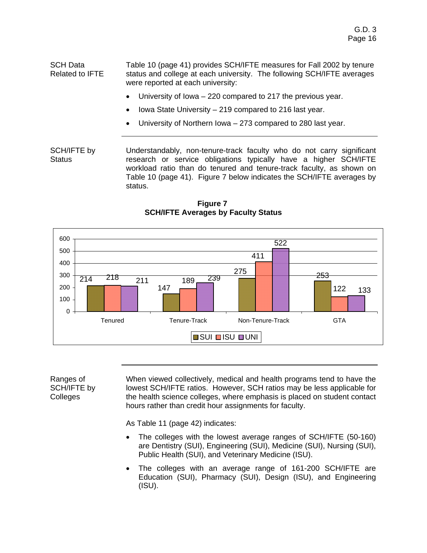SCH Data Related to IFTE Table 10 (page 41) provides SCH/IFTE measures for Fall 2002 by tenure status and college at each university. The following SCH/IFTE averages were reported at each university:

- University of Iowa 220 compared to 217 the previous year.
- Iowa State University 219 compared to 216 last year.
- University of Northern Iowa 273 compared to 280 last year.

#### SCH/IFTE by **Status** Understandably, non-tenure-track faculty who do not carry significant research or service obligations typically have a higher SCH/IFTE workload ratio than do tenured and tenure-track faculty, as shown on Table 10 (page 41). Figure 7 below indicates the SCH/IFTE averages by status.



**Figure 7 SCH/IFTE Averages by Faculty Status** 

Ranges of SCH/IFTE by **Colleges** 

When viewed collectively, medical and health programs tend to have the lowest SCH/IFTE ratios. However, SCH ratios may be less applicable for the health science colleges, where emphasis is placed on student contact hours rather than credit hour assignments for faculty.

As Table 11 (page 42) indicates:

- The colleges with the lowest average ranges of SCH/IFTE (50-160) are Dentistry (SUI), Engineering (SUI), Medicine (SUI), Nursing (SUI), Public Health (SUI), and Veterinary Medicine (ISU).
- The colleges with an average range of 161-200 SCH/IFTE are Education (SUI), Pharmacy (SUI), Design (ISU), and Engineering (ISU).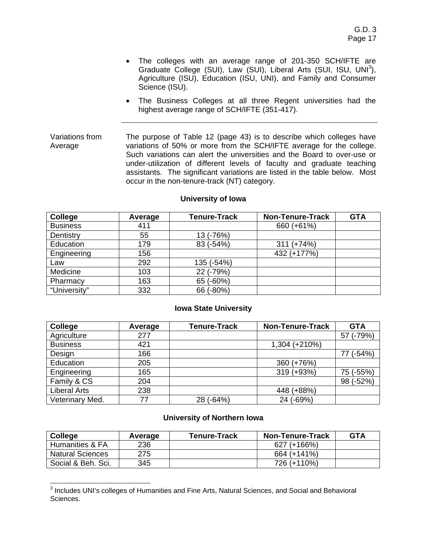G.D. 3 Page 17

- The colleges with an average range of 201-350 SCH/IFTE are Graduate College (SUI), Law (SUI), Liberal Arts (SUI, ISU, UNI<sup>3</sup>), Agriculture (ISU), Education (ISU, UNI), and Family and Consumer Science (ISU).
- The Business Colleges at all three Regent universities had the highest average range of SCH/IFTE (351-417).
- Variations from Average The purpose of Table 12 (page 43) is to describe which colleges have variations of 50% or more from the SCH/IFTE average for the college. Such variations can alert the universities and the Board to over-use or under-utilization of different levels of faculty and graduate teaching assistants. The significant variations are listed in the table below. Most occur in the non-tenure-track (NT) category.

| <b>College</b>  | Average | <b>Tenure-Track</b> | <b>Non-Tenure-Track</b> | <b>GTA</b> |
|-----------------|---------|---------------------|-------------------------|------------|
| <b>Business</b> | 411     |                     | 660 (+61%)              |            |
| Dentistry       | 55      | 13 (-76%)           |                         |            |
| Education       | 179     | 83 (-54%)           | $311 (+74%)$            |            |
| Engineering     | 156     |                     | 432 (+177%)             |            |
| Law             | 292     | 135 (-54%)          |                         |            |
| Medicine        | 103     | 22 (-79%)           |                         |            |
| Pharmacy        | 163     | 65 (-60%)           |                         |            |
| "University"    | 332     | 66 (-80%)           |                         |            |

#### **University of Iowa**

#### **Iowa State University**

| <b>College</b>      | Average | <b>Tenure-Track</b> | <b>Non-Tenure-Track</b> | <b>GTA</b>     |
|---------------------|---------|---------------------|-------------------------|----------------|
| Agriculture         | 277     |                     |                         | $(-79%)$<br>57 |
| <b>Business</b>     | 421     |                     | 1,304 (+210%)           |                |
| Design              | 166     |                     |                         | $(-54%)$       |
| Education           | 205     |                     | 360 (+76%)              |                |
| Engineering         | 165     |                     | 319 (+93%)              | 75 (-55%)      |
| Family & CS         | 204     |                     |                         | 98 (-52%)      |
| <b>Liberal Arts</b> | 238     |                     | 448 (+88%)              |                |
| Veterinary Med.     | 77      | 28 (-64%)           | 24 (-69%)               |                |

#### **University of Northern Iowa**

| <b>College</b>          | Average | <b>Tenure-Track</b> | <b>Non-Tenure-Track</b> | <b>GTA</b> |
|-------------------------|---------|---------------------|-------------------------|------------|
| Humanities & FA         | 236     |                     | 627 (+166%)             |            |
| <b>Natural Sciences</b> | 275     |                     | 664 (+141%)             |            |
| Social & Beh. Sci.      | 345     |                     | 726 (+110%)             |            |

 3 Includes UNI's colleges of Humanities and Fine Arts, Natural Sciences, and Social and Behavioral Sciences.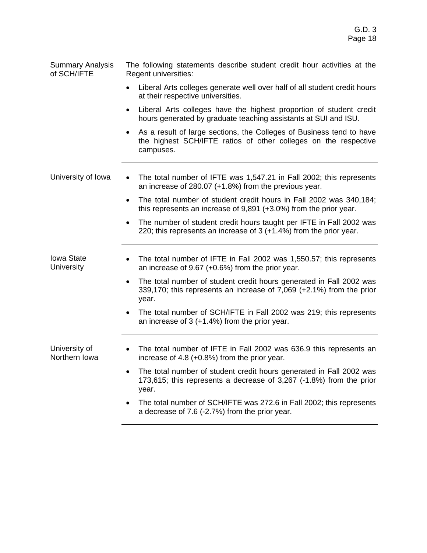Summary Analysis of SCH/IFTE The following statements describe student credit hour activities at the Regent universities:

- Liberal Arts colleges generate well over half of all student credit hours at their respective universities.
- Liberal Arts colleges have the highest proportion of student credit hours generated by graduate teaching assistants at SUI and ISU.
- As a result of large sections, the Colleges of Business tend to have the highest SCH/IFTE ratios of other colleges on the respective campuses.

University of Iowa • The total number of IFTE was 1,547.21 in Fall 2002; this represents an increase of 280.07 (+1.8%) from the previous year.

- The total number of student credit hours in Fall 2002 was 340,184; this represents an increase of 9,891 (+3.0%) from the prior year.
- The number of student credit hours taught per IFTE in Fall 2002 was 220; this represents an increase of 3 (+1.4%) from the prior year.

Iowa State **University** 

- The total number of IFTE in Fall 2002 was 1,550.57; this represents an increase of 9.67 (+0.6%) from the prior year.
	- The total number of student credit hours generated in Fall 2002 was 339,170; this represents an increase of 7,069 (+2.1%) from the prior year.
	- The total number of SCH/IFTE in Fall 2002 was 219; this represents an increase of 3 (+1.4%) from the prior year.

University of Northern Iowa

- The total number of IFTE in Fall 2002 was 636.9 this represents an increase of 4.8 (+0.8%) from the prior year.
- The total number of student credit hours generated in Fall 2002 was 173,615; this represents a decrease of 3,267 (-1.8%) from the prior year.
- The total number of SCH/IFTE was 272.6 in Fall 2002; this represents a decrease of 7.6 (-2.7%) from the prior year.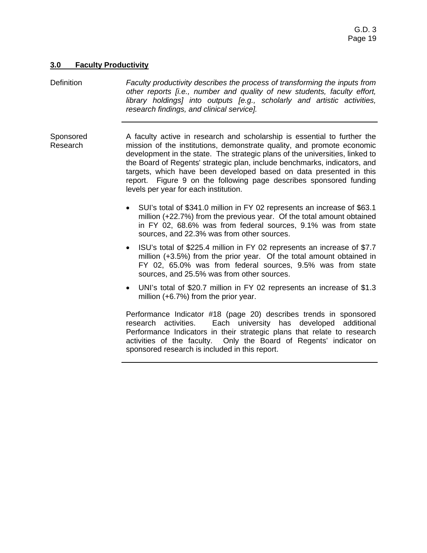#### **3.0 Faculty Productivity**

- Definition *Faculty productivity describes the process of transforming the inputs from other reports [i.e., number and quality of new students, faculty effort, library holdings] into outputs [e.g., scholarly and artistic activities, research findings, and clinical service].*
- Sponsored Research A faculty active in research and scholarship is essential to further the mission of the institutions, demonstrate quality, and promote economic development in the state. The strategic plans of the universities, linked to the Board of Regents' strategic plan, include benchmarks, indicators, and targets, which have been developed based on data presented in this report. Figure 9 on the following page describes sponsored funding levels per year for each institution.
	- SUI's total of \$341.0 million in FY 02 represents an increase of \$63.1 million (+22.7%) from the previous year. Of the total amount obtained in FY 02, 68.6% was from federal sources, 9.1% was from state sources, and 22.3% was from other sources.
	- ISU's total of \$225.4 million in FY 02 represents an increase of \$7.7 million (+3.5%) from the prior year. Of the total amount obtained in FY 02, 65.0% was from federal sources, 9.5% was from state sources, and 25.5% was from other sources.
	- UNI's total of \$20.7 million in FY 02 represents an increase of \$1.3 million (+6.7%) from the prior year.

Performance Indicator #18 (page 20) describes trends in sponsored research activities. Each university has developed additional Performance Indicators in their strategic plans that relate to research activities of the faculty. Only the Board of Regents' indicator on sponsored research is included in this report.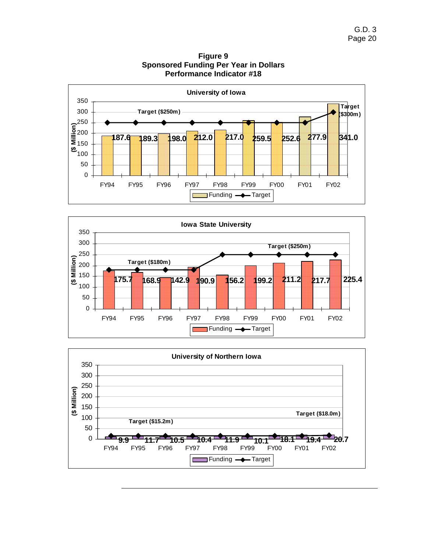

**Figure 9 Sponsored Funding Per Year in Dollars Performance Indicator #18** 



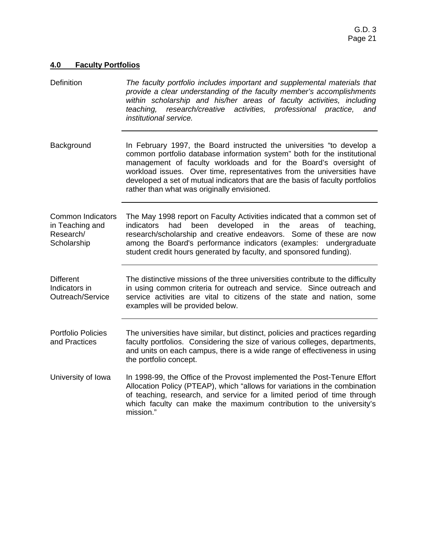## **4.0 Faculty Portfolios**

| Definition                                                              | The faculty portfolio includes important and supplemental materials that<br>provide a clear understanding of the faculty member's accomplishments<br>within scholarship and his/her areas of faculty activities, including<br>research/creative activities, professional practice,<br>teaching,<br>and<br>institutional service.                                                                                                |
|-------------------------------------------------------------------------|---------------------------------------------------------------------------------------------------------------------------------------------------------------------------------------------------------------------------------------------------------------------------------------------------------------------------------------------------------------------------------------------------------------------------------|
| Background                                                              | In February 1997, the Board instructed the universities "to develop a<br>common portfolio database information system" both for the institutional<br>management of faculty workloads and for the Board's oversight of<br>workload issues. Over time, representatives from the universities have<br>developed a set of mutual indicators that are the basis of faculty portfolios<br>rather than what was originally envisioned. |
| <b>Common Indicators</b><br>in Teaching and<br>Research/<br>Scholarship | The May 1998 report on Faculty Activities indicated that a common set of<br>indicators<br>had<br>been<br>developed<br>the<br>in<br>areas<br>of<br>teaching,<br>research/scholarship and creative endeavors. Some of these are now<br>among the Board's performance indicators (examples:<br>undergraduate<br>student credit hours generated by faculty, and sponsored funding).                                                 |
| <b>Different</b><br>Indicators in<br>Outreach/Service                   | The distinctive missions of the three universities contribute to the difficulty<br>in using common criteria for outreach and service. Since outreach and<br>service activities are vital to citizens of the state and nation, some<br>examples will be provided below.                                                                                                                                                          |
| <b>Portfolio Policies</b><br>and Practices                              | The universities have similar, but distinct, policies and practices regarding<br>faculty portfolios. Considering the size of various colleges, departments,<br>and units on each campus, there is a wide range of effectiveness in using<br>the portfolio concept.                                                                                                                                                              |
| University of Iowa                                                      | In 1998-99, the Office of the Provost implemented the Post-Tenure Effort<br>Allocation Policy (PTEAP), which "allows for variations in the combination<br>of teaching, research, and service for a limited period of time through<br>which faculty can make the maximum contribution to the university's<br>mission."                                                                                                           |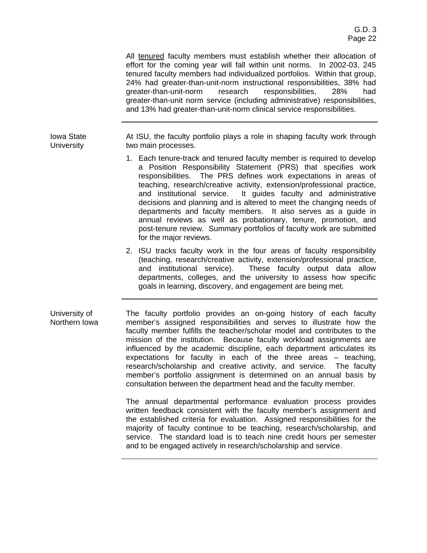All tenured faculty members must establish whether their allocation of effort for the coming year will fall within unit norms. In 2002-03, 245 tenured faculty members had individualized portfolios. Within that group, 24% had greater-than-unit-norm instructional responsibilities, 38% had greater-than-unit-norm research responsibilities, 28% had greater-than-unit norm service (including administrative) responsibilities, and 13% had greater-than-unit-norm clinical service responsibilities.

Iowa State **University** At ISU, the faculty portfolio plays a role in shaping faculty work through two main processes.

- 1. Each tenure-track and tenured faculty member is required to develop a Position Responsibility Statement (PRS) that specifies work responsibilities. The PRS defines work expectations in areas of teaching, research/creative activity, extension/professional practice, and institutional service. It guides faculty and administrative decisions and planning and is altered to meet the changing needs of departments and faculty members. It also serves as a guide in annual reviews as well as probationary, tenure, promotion, and post-tenure review. Summary portfolios of faculty work are submitted for the major reviews.
- 2. ISU tracks faculty work in the four areas of faculty responsibility (teaching, research/creative activity, extension/professional practice, and institutional service). These faculty output data allow departments, colleges, and the university to assess how specific goals in learning, discovery, and engagement are being met.
- University of Northern Iowa The faculty portfolio provides an on-going history of each faculty member's assigned responsibilities and serves to illustrate how the faculty member fulfills the teacher/scholar model and contributes to the mission of the institution. Because faculty workload assignments are influenced by the academic discipline, each department articulates its expectations for faculty in each of the three areas – teaching, research/scholarship and creative activity, and service. The faculty member's portfolio assignment is determined on an annual basis by consultation between the department head and the faculty member.

The annual departmental performance evaluation process provides written feedback consistent with the faculty member's assignment and the established criteria for evaluation. Assigned responsibilities for the majority of faculty continue to be teaching, research/scholarship, and service. The standard load is to teach nine credit hours per semester and to be engaged actively in research/scholarship and service.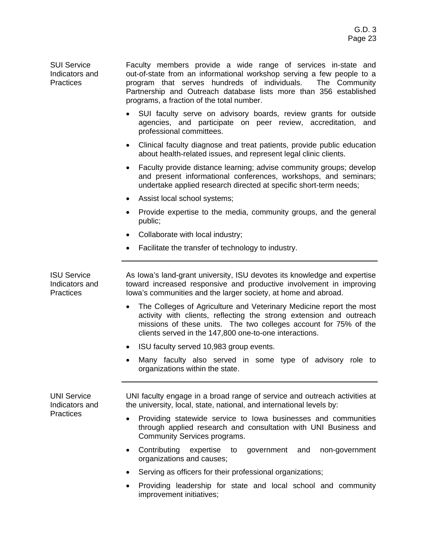SUI Service Indicators and **Practices** Faculty members provide a wide range of services in-state and out-of-state from an informational workshop serving a few people to a program that serves hundreds of individuals. The Community Partnership and Outreach database lists more than 356 established programs, a fraction of the total number. SUI faculty serve on advisory boards, review grants for outside agencies, and participate on peer review, accreditation, and professional committees. • Clinical faculty diagnose and treat patients, provide public education about health-related issues, and represent legal clinic clients. • Faculty provide distance learning; advise community groups; develop and present informational conferences, workshops, and seminars; undertake applied research directed at specific short-term needs; • Assist local school systems; • Provide expertise to the media, community groups, and the general public; • Collaborate with local industry; • Facilitate the transfer of technology to industry. ISU Service Indicators and **Practices** As Iowa's land-grant university, ISU devotes its knowledge and expertise toward increased responsive and productive involvement in improving Iowa's communities and the larger society, at home and abroad. • The Colleges of Agriculture and Veterinary Medicine report the most activity with clients, reflecting the strong extension and outreach missions of these units. The two colleges account for 75% of the clients served in the 147,800 one-to-one interactions. • ISU faculty served 10,983 group events. • Many faculty also served in some type of advisory role to organizations within the state. UNI Service Indicators and Practices UNI faculty engage in a broad range of service and outreach activities at the university, local, state, national, and international levels by: • Providing statewide service to Iowa businesses and communities through applied research and consultation with UNI Business and Community Services programs. • Contributing expertise to government and non-government organizations and causes;

- Serving as officers for their professional organizations;
- Providing leadership for state and local school and community improvement initiatives;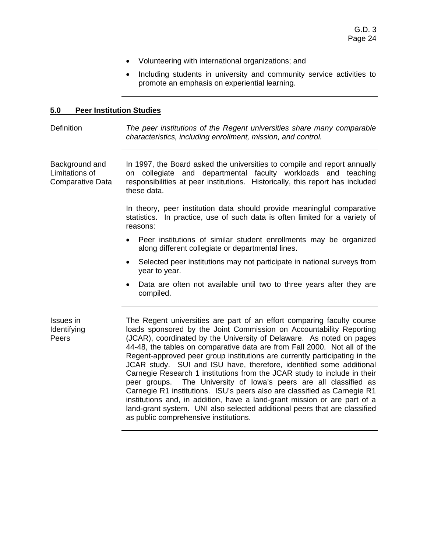- Volunteering with international organizations; and
- Including students in university and community service activities to promote an emphasis on experiential learning.

#### **5.0 Peer Institution Studies**

Definition *The peer institutions of the Regent universities share many comparable characteristics, including enrollment, mission, and control.*

Background and Limitations of Comparative Data In 1997, the Board asked the universities to compile and report annually on collegiate and departmental faculty workloads and teaching responsibilities at peer institutions. Historically, this report has included these data.

> In theory, peer institution data should provide meaningful comparative statistics. In practice, use of such data is often limited for a variety of reasons:

- Peer institutions of similar student enrollments may be organized along different collegiate or departmental lines.
- Selected peer institutions may not participate in national surveys from year to year.
- Data are often not available until two to three years after they are compiled.

Issues in Identifying Peers

The Regent universities are part of an effort comparing faculty course loads sponsored by the Joint Commission on Accountability Reporting (JCAR), coordinated by the University of Delaware. As noted on pages 44-48, the tables on comparative data are from Fall 2000. Not all of the Regent-approved peer group institutions are currently participating in the JCAR study. SUI and ISU have, therefore, identified some additional Carnegie Research 1 institutions from the JCAR study to include in their peer groups. The University of Iowa's peers are all classified as Carnegie R1 institutions. ISU's peers also are classified as Carnegie R1 institutions and, in addition, have a land-grant mission or are part of a land-grant system. UNI also selected additional peers that are classified as public comprehensive institutions.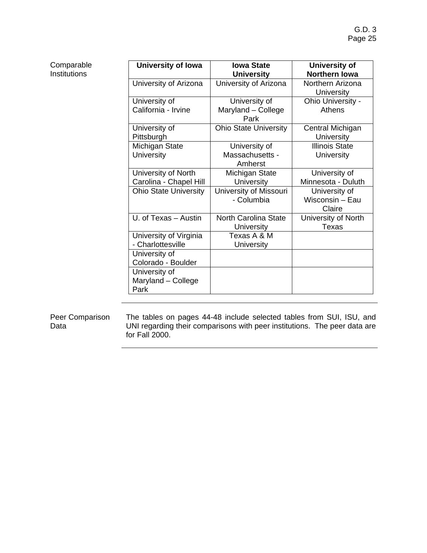#### Comparable Institutions

| <b>University of</b><br><b>Northern lowa</b> |
|----------------------------------------------|
| Northern Arizona                             |
| Ohio University -                            |
|                                              |
| Central Michigan                             |
| <b>Illinois State</b>                        |
|                                              |
|                                              |
| University of                                |
| Minnesota - Duluth                           |
| University of                                |
| Wisconsin - Eau                              |
|                                              |
| University of North                          |
|                                              |
|                                              |
|                                              |
|                                              |
|                                              |
|                                              |
|                                              |
|                                              |
|                                              |

## Peer Comparison Data

The tables on pages 44-48 include selected tables from SUI, ISU, and UNI regarding their comparisons with peer institutions. The peer data are for Fall 2000.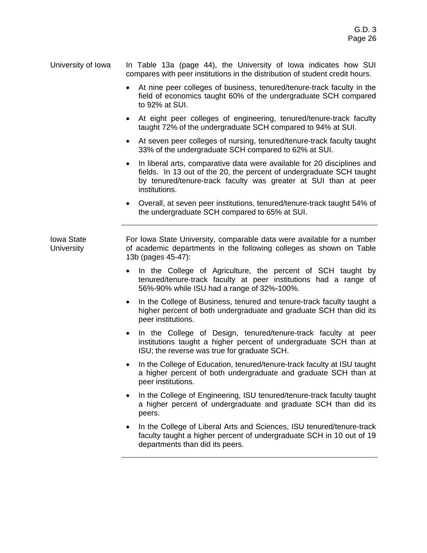University of Iowa In Table 13a (page 44), the University of Iowa indicates how SUI compares with peer institutions in the distribution of student credit hours.

- At nine peer colleges of business, tenured/tenure-track faculty in the field of economics taught 60% of the undergraduate SCH compared to 92% at SUI.
- At eight peer colleges of engineering, tenured/tenure-track faculty taught 72% of the undergraduate SCH compared to 94% at SUI.
- At seven peer colleges of nursing, tenured/tenure-track faculty taught 33% of the undergraduate SCH compared to 62% at SUI.
- In liberal arts, comparative data were available for 20 disciplines and fields. In 13 out of the 20, the percent of undergraduate SCH taught by tenured/tenure-track faculty was greater at SUI than at peer institutions.
- Overall, at seven peer institutions, tenured/tenure-track taught 54% of the undergraduate SCH compared to 65% at SUI.

Iowa State **University** For Iowa State University, comparable data were available for a number of academic departments in the following colleges as shown on Table 13b (pages 45-47):

- In the College of Agriculture, the percent of SCH taught by tenured/tenure-track faculty at peer institutions had a range of 56%-90% while ISU had a range of 32%-100%.
- In the College of Business, tenured and tenure-track faculty taught a higher percent of both undergraduate and graduate SCH than did its peer institutions.
- In the College of Design, tenured/tenure-track faculty at peer institutions taught a higher percent of undergraduate SCH than at ISU; the reverse was true for graduate SCH.
- In the College of Education, tenured/tenure-track faculty at ISU taught a higher percent of both undergraduate and graduate SCH than at peer institutions.
- In the College of Engineering, ISU tenured/tenure-track faculty taught a higher percent of undergraduate and graduate SCH than did its peers.
- In the College of Liberal Arts and Sciences, ISU tenured/tenure-track faculty taught a higher percent of undergraduate SCH in 10 out of 19 departments than did its peers.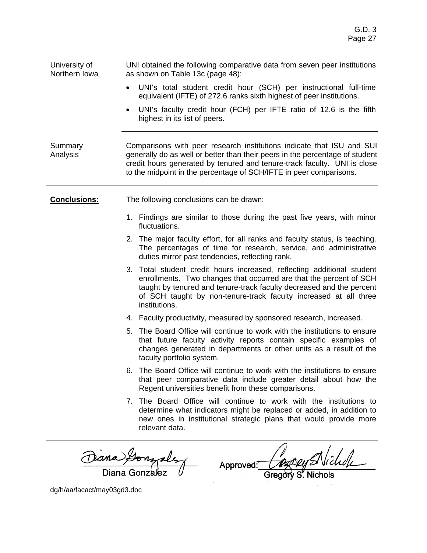| University of<br>Northern Iowa | UNI obtained the following comparative data from seven peer institutions<br>as shown on Table 13c (page 48):                                                                                                                                                                                              |
|--------------------------------|-----------------------------------------------------------------------------------------------------------------------------------------------------------------------------------------------------------------------------------------------------------------------------------------------------------|
|                                | UNI's total student credit hour (SCH) per instructional full-time<br>$\bullet$<br>equivalent (IFTE) of 272.6 ranks sixth highest of peer institutions.                                                                                                                                                    |
|                                | UNI's faculty credit hour (FCH) per IFTE ratio of 12.6 is the fifth<br>$\bullet$<br>highest in its list of peers.                                                                                                                                                                                         |
| Summary<br>Analysis            | Comparisons with peer research institutions indicate that ISU and SUI<br>generally do as well or better than their peers in the percentage of student<br>credit hours generated by tenured and tenure-track faculty. UNI is close<br>to the midpoint in the percentage of SCH/IFTE in peer comparisons.   |
| <b>Conclusions:</b>            | The following conclusions can be drawn:                                                                                                                                                                                                                                                                   |
|                                | 1. Findings are similar to those during the past five years, with minor<br>fluctuations.                                                                                                                                                                                                                  |
|                                | 2. The major faculty effort, for all ranks and faculty status, is teaching.<br>The percentages of time for research, service, and administrative<br>duties mirror past tendencies, reflecting rank.                                                                                                       |
|                                | 3. Total student credit hours increased, reflecting additional student<br>enrollments. Two changes that occurred are that the percent of SCH<br>taught by tenured and tenure-track faculty decreased and the percent<br>of SCH taught by non-tenure-track faculty increased at all three<br>institutions. |
|                                | 4. Faculty productivity, measured by sponsored research, increased.                                                                                                                                                                                                                                       |
|                                | 5. The Board Office will continue to work with the institutions to ensure<br>that future faculty activity reports contain specific examples of<br>changes generated in departments or other units as a result of the<br>faculty portfolio system.                                                         |
|                                | 6. The Board Office will continue to work with the institutions to ensure<br>that peer comparative data include greater detail about how the<br>Regent universities benefit from these comparisons.                                                                                                       |
|                                | 7. The Board Office will continue to work with the institutions to<br>determine what indicators might be replaced or added, in addition to<br>new ones in institutional strategic plans that would provide more<br>relevant data.                                                                         |
|                                | George Michell<br>Dana Gonzalez                                                                                                                                                                                                                                                                           |

Diana Gonzalez 0

Approved: Ago by S. Nichols<br>Gregory S. Nichols

dg/h/aa/facact/may03gd3.doc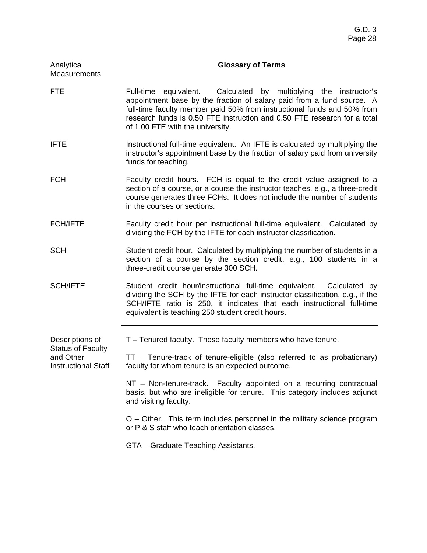| Analytical<br>Measurements                  | <b>Glossary of Terms</b>                                                                                                                                                                                                                                                                                                                   |  |  |  |  |  |  |
|---------------------------------------------|--------------------------------------------------------------------------------------------------------------------------------------------------------------------------------------------------------------------------------------------------------------------------------------------------------------------------------------------|--|--|--|--|--|--|
| <b>FTE</b>                                  | equivalent.<br>Calculated by multiplying the instructor's<br>Full-time<br>appointment base by the fraction of salary paid from a fund source. A<br>full-time faculty member paid 50% from instructional funds and 50% from<br>research funds is 0.50 FTE instruction and 0.50 FTE research for a total<br>of 1.00 FTE with the university. |  |  |  |  |  |  |
| <b>IFTE</b>                                 | Instructional full-time equivalent. An IFTE is calculated by multiplying the<br>instructor's appointment base by the fraction of salary paid from university<br>funds for teaching.                                                                                                                                                        |  |  |  |  |  |  |
| <b>FCH</b>                                  | Faculty credit hours. FCH is equal to the credit value assigned to a<br>section of a course, or a course the instructor teaches, e.g., a three-credit<br>course generates three FCHs. It does not include the number of students<br>in the courses or sections.                                                                            |  |  |  |  |  |  |
| <b>FCH/IFTE</b>                             | Faculty credit hour per instructional full-time equivalent. Calculated by<br>dividing the FCH by the IFTE for each instructor classification.                                                                                                                                                                                              |  |  |  |  |  |  |
| <b>SCH</b>                                  | Student credit hour. Calculated by multiplying the number of students in a<br>section of a course by the section credit, e.g., 100 students in a<br>three-credit course generate 300 SCH.                                                                                                                                                  |  |  |  |  |  |  |
| <b>SCH/IFTE</b>                             | Student credit hour/instructional full-time equivalent. Calculated by<br>dividing the SCH by the IFTE for each instructor classification, e.g., if the<br>SCH/IFTE ratio is 250, it indicates that each instructional full-time<br>equivalent is teaching 250 student credit hours.                                                        |  |  |  |  |  |  |
| Descriptions of<br><b>Status of Faculty</b> | T - Tenured faculty. Those faculty members who have tenure.                                                                                                                                                                                                                                                                                |  |  |  |  |  |  |
| and Other<br><b>Instructional Staff</b>     | TT - Tenure-track of tenure-eligible (also referred to as probationary)<br>faculty for whom tenure is an expected outcome.                                                                                                                                                                                                                 |  |  |  |  |  |  |
|                                             | NT – Non-tenure-track. Faculty appointed on a recurring contractual<br>basis, but who are ineligible for tenure. This category includes adjunct<br>and visiting faculty.                                                                                                                                                                   |  |  |  |  |  |  |
|                                             | O – Other. This term includes personnel in the military science program<br>or P & S staff who teach orientation classes.                                                                                                                                                                                                                   |  |  |  |  |  |  |

GTA – Graduate Teaching Assistants.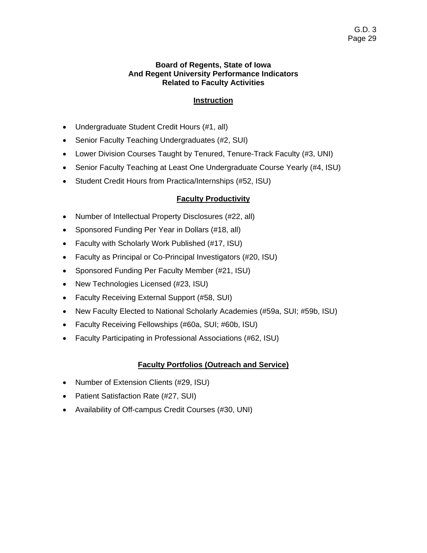### **Board of Regents, State of Iowa And Regent University Performance Indicators Related to Faculty Activities**

## **Instruction**

- Undergraduate Student Credit Hours (#1, all)
- Senior Faculty Teaching Undergraduates (#2, SUI)
- Lower Division Courses Taught by Tenured, Tenure-Track Faculty (#3, UNI)
- Senior Faculty Teaching at Least One Undergraduate Course Yearly (#4, ISU)
- Student Credit Hours from Practica/Internships (#52, ISU)

## **Faculty Productivity**

- Number of Intellectual Property Disclosures (#22, all)
- Sponsored Funding Per Year in Dollars (#18, all)
- Faculty with Scholarly Work Published (#17, ISU)
- Faculty as Principal or Co-Principal Investigators (#20, ISU)
- Sponsored Funding Per Faculty Member (#21, ISU)
- New Technologies Licensed (#23, ISU)
- Faculty Receiving External Support (#58, SUI)
- New Faculty Elected to National Scholarly Academies (#59a, SUI; #59b, ISU)
- Faculty Receiving Fellowships (#60a, SUI; #60b, ISU)
- Faculty Participating in Professional Associations (#62, ISU)

## **Faculty Portfolios (Outreach and Service)**

- Number of Extension Clients (#29, ISU)
- Patient Satisfaction Rate (#27, SUI)
- Availability of Off-campus Credit Courses (#30, UNI)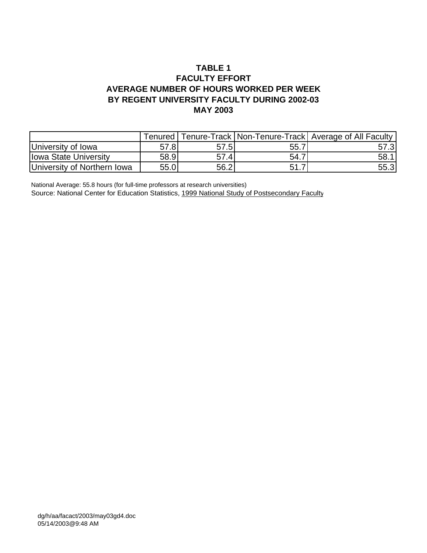# **TABLE 1 FACULTY EFFORT AVERAGE NUMBER OF HOURS WORKED PER WEEK BY REGENT UNIVERSITY FACULTY DURING 2002-03 MAY 2003**

|                              | Tenured I |      |      | Tenure-Track   Non-Tenure-Track   Average of All Faculty |
|------------------------------|-----------|------|------|----------------------------------------------------------|
| University of Iowa           | 57.8      | 57.5 | 55.7 | 57.3                                                     |
| <b>Iowa State University</b> | 58.9      | 57.4 | 54.7 | 58.1                                                     |
| University of Northern Iowa  | 55.0      | 56.2 | 51.7 | 55.3                                                     |

National Average: 55.8 hours (for full-time professors at research universities) Source: National Center for Education Statistics, 1999 National Study of Postsecondary Faculty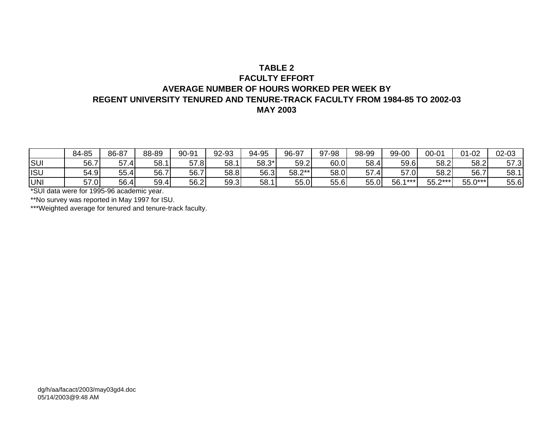## **TABLE 2FACULTY EFFORTAVERAGE NUMBER OF HOURS WORKED PER WEEK BYREGENT UNIVERSITY TENURED AND TENURE-TRACK FACULTY FROM 1984-85 TO 2002-03 MAY 2003**

|            | 84-85 | 86-87             | 88-89 | 90-91 | 92-93 | 94-95 | 96-97  | 97-98 | 98-99 | 99-00           | $00 - 01$ | $01 - 02$ | 02-03 |
|------------|-------|-------------------|-------|-------|-------|-------|--------|-------|-------|-----------------|-----------|-----------|-------|
| SUI        | 56.7  | <b>E7</b><br>57.4 | 58.1  | 57.8  | 58.1  | 58.3* | 59.2   | 60.0  | 58.4  | 59.6            | 58.2      | 58.2      | 57.3  |
| <b>ISU</b> | 54.9  | 55.4              | 56.7  | 56.7  | 58.8  | 56.3  | 58.2** | 58.0  | 57.4  | 57.0            | 58.2      | 56.7      | 58.1  |
| <b>UNI</b> | 57.0  | 56.4              | 59.4  | 56.2  | 59.3  | 58.1  | 55.0   | 55.6  | 55.0  | $1***1$<br>56.1 | 55.2***   | 55.0***   | 55.6  |

\*SUI data were for 1995-96 academic year.

\*\*No survey was reported in May 1997 for ISU.

\*\*\*Weighted average for tenured and tenure-track faculty.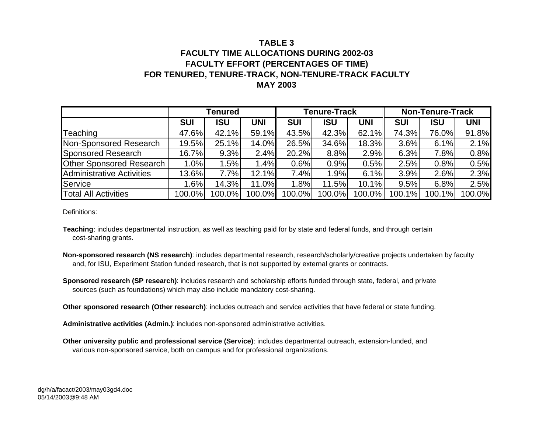## **TABLE 3FACULTY TIME ALLOCATIONS DURING 2002-03FACULTY EFFORT (PERCENTAGES OF TIME) FOR TENURED, TENURE-TRACK, NON-TENURE-TRACK FACULTY MAY 2003**

|                                  | <b>Tenured</b> |        |            |            | <b>Tenure-Track</b> |            | <b>Non-Tenure-Track</b> |            |            |
|----------------------------------|----------------|--------|------------|------------|---------------------|------------|-------------------------|------------|------------|
|                                  | <b>SUI</b>     | ISU    | <b>UNI</b> | <b>SUI</b> | <b>ISU</b>          | <b>UNI</b> | <b>SUI</b>              | <b>ISU</b> | <b>UNI</b> |
| Teaching                         | 47.6%          | 42.1%  | $59.1\%$   | 43.5%      | 42.3%               | 62.1%      | 74.3%                   | 76.0%      | 91.8%      |
| Non-Sponsored Research           | 19.5%          | 25.1%  | 14.0%      | 26.5%      | 34.6%               | 18.3%      | 3.6%                    | 6.1%       | 2.1%       |
| Sponsored Research               | 16.7%          | 9.3%   | 2.4%       | 20.2%      | 8.8%                | 2.9%       | 6.3%                    | 7.8%       | 0.8%       |
| <b>Other Sponsored Research</b>  | 1.0%           | 1.5%   | 1.4%       | 0.6%       | 0.9%                | 0.5%       | 2.5%                    | 0.8%       | 0.5%       |
| <b>Administrative Activities</b> | 13.6%          | 7.7%   | $12.1\%$   | 7.4%       | 1.9%                | 6.1%       | 3.9%                    | 2.6%       | 2.3%       |
| Service                          | 1.6%           | 14.3%  | 11.0%II    | .8%        | 11.5%               | $10.1\%$   | 9.5%                    | 6.8%       | 2.5%       |
| <b>Total All Activities</b>      | 100.0%         | 100.0% | 100.0%     | 100.0%     | 100.0%              | $100.0\%$  | 100.1%                  | 100.1%     | 100.0%     |

Definitions:

- **Teaching**: includes departmental instruction, as well as teaching paid for by state and federal funds, and through certain cost-sharing grants.
- **Non-sponsored research (NS research)**: includes departmental research, research/scholarly/creative projects undertaken by faculty and, for ISU, Experiment Station funded research, that is not supported by external grants or contracts.
- **Sponsored research (SP research)**: includes research and scholarship efforts funded through state, federal, and private sources (such as foundations) which may also include mandatory cost-sharing.

**Other sponsored research (Other research)**: includes outreach and service activities that have federal or state funding.

**Administrative activities (Admin.)**: includes non-sponsored administrative activities.

**Other university public and professional service (Service)**: includes departmental outreach, extension-funded, and various non-sponsored service, both on campus and for professional organizations.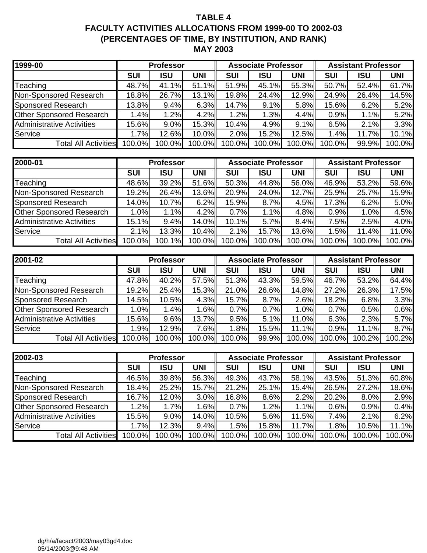## **TABLE 4 FACULTY ACTIVITIES ALLOCATIONS FROM 1999-00 TO 2002-03 (PERCENTAGES OF TIME, BY INSTITUTION, AND RANK) MAY 2003**

| 1999-00                          |            | <b>Professor</b> |            |            | <b>Associate Professor</b> |            | <b>Assistant Professor</b> |            |            |
|----------------------------------|------------|------------------|------------|------------|----------------------------|------------|----------------------------|------------|------------|
|                                  | <b>SUI</b> | ISU              | <b>UNI</b> | <b>SUI</b> | <b>ISU</b>                 | <b>UNI</b> | <b>SUI</b>                 | <b>ISU</b> | <b>UNI</b> |
| Teaching                         | 48.7%      | 41.1%            | 51.1%      | 51.9%      | 45.1%                      | 55.3%      | 50.7%                      | 52.4%      | 61.7%      |
| Non-Sponsored Research           | 18.8%      | 26.7%            | $13.1\%$   | 19.8%      | 24.4%                      | 12.9%      | 24.9%                      | 26.4%      | 14.5%      |
| Sponsored Research               | 13.8%      | 9.4%             | 6.3%       | 14.7%      | 9.1%                       | $5.8\%$    | 15.6%                      | 6.2%       | 5.2%       |
| <b>Other Sponsored Research</b>  | 1.4%       | 1.2%             | 4.2%       | 1.2%       | 1.3%                       | 4.4%       | 0.9%                       | 1.1%       | 5.2%       |
| <b>Administrative Activities</b> | 15.6%      | 9.0%             | 15.3%      | 10.4%      | 4.9%                       | 9.1%       | 6.5%                       | 2.1%       | 3.3%       |
| Service                          | 1.7%       | 12.6%            | 10.0%      | 2.0%       | 15.2%                      | 12.5%      | 1.4%                       | 11.7%      | 10.1%      |
| <b>Total All Activities</b>      | 100.0%     | 100.0%           | 100.0%     | 100.0%     | 100.0%                     | $100.0\%$  | 100.0%                     | 99.9%      | 100.0%     |

| 2000-01                          |            | <b>Professor</b> |            |            | <b>Associate Professor</b> |            | <b>Assistant Professor</b> |            |            |
|----------------------------------|------------|------------------|------------|------------|----------------------------|------------|----------------------------|------------|------------|
|                                  | <b>SUI</b> | <b>ISU</b>       | <b>UNI</b> | <b>SUI</b> | <b>ISU</b>                 | <b>UNI</b> | <b>SUI</b>                 | <b>ISU</b> | <b>UNI</b> |
| Teaching                         | 48.6%      | 39.2%            | 51.6%      | 50.3%      | 44.8%                      | 56.0%      | 46.9%                      | 53.2%      | 59.6%      |
| Non-Sponsored Research           | 19.2%      | 26.4%            | 13.6%      | 20.9%      | 24.0%                      | 12.7%      | 25.9%                      | 25.7%      | 15.9%      |
| Sponsored Research               | 14.0%      | 10.7%            | 6.2%       | 15.9%      | 8.7%                       | 4.5%       | 17.3%                      | 6.2%       | 5.0%       |
| <b>Other Sponsored Research</b>  | 1.0%       | 1.1%             | 4.2%       | 0.7%       | 1.1%                       | 4.8%       | 0.9%                       | 1.0%       | 4.5%       |
| <b>Administrative Activities</b> | 15.1%      | 9.4%             | 14.0%      | 10.1%      | 5.7%                       | $8.4\%$    | 7.5%                       | 2.5%       | 4.0%       |
| Service                          | 2.1%       | 13.3%            | 10.4%      | 2.1%       | 15.7%                      | 13.6%      | 1.5%                       | 11.4%      | 11.0%      |
| <b>Total All Activities</b>      | 100.0%     | 100.1%           | 100.0%     | 100.0%     | 100.0%                     | 100.0%     | 100.0%                     | 100.0%     | 100.0%     |

| 2001-02                          |            | <b>Professor</b> |            |            | <b>Associate Professor</b> |            |            | <b>Assistant Professor</b> |            |  |
|----------------------------------|------------|------------------|------------|------------|----------------------------|------------|------------|----------------------------|------------|--|
|                                  | <b>SUI</b> | <b>ISU</b>       | <b>UNI</b> | <b>SUI</b> | <b>ISU</b>                 | <b>UNI</b> | <b>SUI</b> | <b>ISU</b>                 | <b>UNI</b> |  |
| Teaching                         | 47.8%      | 40.2%            | 57.5%      | 51.3%      | 43.3%                      | 59.5%      | 46.7%      | 53.2%                      | 64.4%      |  |
| Non-Sponsored Research           | 19.2%      | 25.4%            | 15.3%      | 21.0%      | 26.6%                      | 14.8%      | 27.2%      | 26.3%                      | 17.5%      |  |
| Sponsored Research               | 14.5%      | 10.5%            | 4.3%       | 15.7%      | 8.7%                       | 2.6%       | 18.2%      | 6.8%                       | 3.3%       |  |
| <b>Other Sponsored Research</b>  | 1.0%       | 1.4%             | 1.6%       | 0.7%       | 0.7%                       | 1.0%       | 0.7%       | 0.5%                       | 0.6%       |  |
| <b>Administrative Activities</b> | 15.6%      | 9.6%             | $13.7\%$   | 9.5%       | 5.1%                       | 11.0%      | 6.3%       | 2.3%                       | 5.7%       |  |
| Service                          | .9%        | 12.9%            | 7.6%       | 1.8%       | 15.5%                      | 11.1%      | 0.9%       | 11.1%                      | 8.7%       |  |
| <b>Total All Activities</b>      | 100.0%     | 100.0%           | 100.0%     | 100.0%     | 99.9%                      | 100.0%     | 100.0%     | 100.2%                     | 100.2%     |  |

| 2002-03                          |            | <b>Professor</b> |            |            | <b>Associate Professor</b> |            | <b>Assistant Professor</b> |        |            |  |
|----------------------------------|------------|------------------|------------|------------|----------------------------|------------|----------------------------|--------|------------|--|
|                                  | <b>SUI</b> | ISU              | <b>UNI</b> | <b>SUI</b> | <b>ISU</b>                 | <b>UNI</b> | <b>SUI</b>                 | ISU    | <b>UNI</b> |  |
| Teaching                         | 46.5%      | 39.8%            | 56.3%      | 49.3%      | 43.7%                      | 58.1%      | 43.5%                      | 51.3%  | 60.8%      |  |
| Non-Sponsored Research           | 18.4%      | 25.2%            | 15.7%      | 21.2%      | 25.1%                      | 15.4%      | 26.5%                      | 27.2%  | 18.6%      |  |
| Sponsored Research               | 16.7%      | 12.0%            | 3.0%       | 16.8%      | 8.6%                       | 2.2%       | 20.2%                      | 8.0%   | 2.9%       |  |
| <b>Other Sponsored Research</b>  | .2%        | 1.7%             | $1.6\%$    | 0.7%       | 1.2%                       | 1.1%       | 0.6%                       | 0.9%   | 0.4%       |  |
| <b>Administrative Activities</b> | 15.5%      | 9.0%             | 14.0%      | 10.5%      | 5.6%                       | $11.5\%$   | 7.4%                       | 2.1%   | 6.2%       |  |
| Service                          | 1.7%       | 12.3%            | 9.4%       | 1.5%       | 15.8%                      | 11.7%II    | 1.8%                       | 10.5%  | 11.1%      |  |
| <b>Total All Activities</b>      | 100.0%     | 100.0%           | 100.0%     | 100.0%     | 100.0%                     | 100.0%     | 100.0%                     | 100.0% | 100.0%     |  |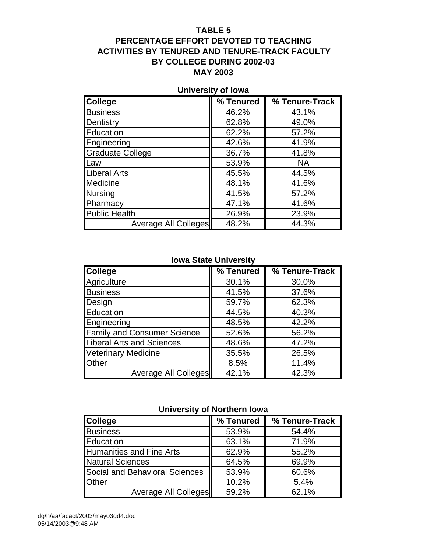## **TABLE 5**

## **PERCENTAGE EFFORT DEVOTED TO TEACHING ACTIVITIES BY TENURED AND TENURE-TRACK FACULTY BY COLLEGE DURING 2002-03 MAY 2003**

## **College % Tenured % Tenure-Track** Business  $\parallel$  46.2%  $\parallel$  43.1% Dentistry **62.8% 49.0%** Education 62.2% 57.2% Engineering  $\|$  42.6%  $\|$  41.9% Graduate College  $\parallel$  36.7%  $\parallel$  41.8% Law 53.9% NA Liberal Arts  $\parallel$  45.5%  $\parallel$  44.5% Medicine  $\parallel$  48.1%  $\parallel$  41.6% Nursing 1990 | 41.5% | 57.2% Pharmacy **120 COVERS** 12.5% Public Health 26.9% 23.9% Average All Colleges 48.2% 44.3%

### **University of Iowa**

### **Iowa State University**

| <b>College</b>                     | % Tenured | % Tenure-Track |
|------------------------------------|-----------|----------------|
| Agriculture                        | 30.1%     | 30.0%          |
| <b>Business</b>                    | 41.5%     | 37.6%          |
| Design                             | 59.7%     | 62.3%          |
| Education                          | 44.5%     | 40.3%          |
| Engineering                        | 48.5%     | 42.2%          |
| <b>Family and Consumer Science</b> | 52.6%     | 56.2%          |
| <b>Liberal Arts and Sciences</b>   | 48.6%     | 47.2%          |
| <b>Veterinary Medicine</b>         | 35.5%     | 26.5%          |
| <b>Other</b>                       | 8.5%      | 11.4%          |
| Average All Colleges               | 42.1%     | 42.3%          |

#### **University of Northern Iowa**

| <b>College</b>                  | % Tenured | % Tenure-Track |
|---------------------------------|-----------|----------------|
| <b>Business</b>                 | 53.9%     | 54.4%          |
| Education                       | 63.1%     | 71.9%          |
| <b>Humanities and Fine Arts</b> | 62.9%     | 55.2%          |
| <b>Natural Sciences</b>         | 64.5%     | 69.9%          |
| Social and Behavioral Sciences  | 53.9%     | 60.6%          |
| <b>Other</b>                    | 10.2%     | 5.4%           |
| Average All Colleges            | 59.2%     | 62.1%          |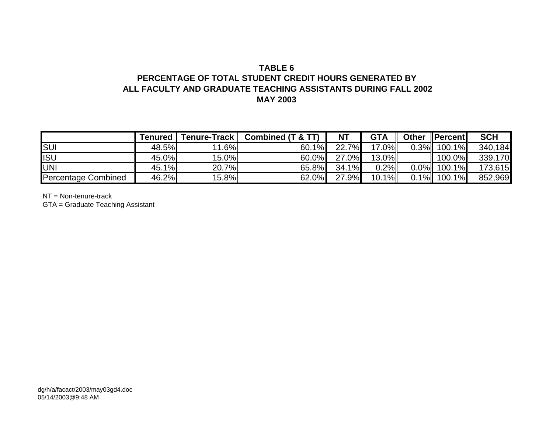## **TABLE 6PERCENTAGE OF TOTAL STUDENT CREDIT HOURS GENERATED BY ALL FACULTY AND GRADUATE TEACHING ASSISTANTS DURING FALL 2002 MAY 2003**

|                            | Tenured | Tenure-Track | Combined (T & TT) | <b>NT</b> | <b>GTA</b> | <b>Other   Percent  </b> | <b>SCH</b> |
|----------------------------|---------|--------------|-------------------|-----------|------------|--------------------------|------------|
| <b>SUI</b>                 | 48.5%   | $11.6\%$     | 60.1%             | $22.7\%$  | $17.0\%$   | $0.3\%$ 100.1%           | 340,184    |
| <b>ISU</b>                 | 45.0%   | 15.0%        | $60.0\%$          | 27.0%     | $13.0\%$   | 100.0%∥                  | 339,170    |
| <b>UNI</b>                 | 45.1%   | 20.7%        | 65.8%             | $34.1\%$  | 0.2%       | $0.0\%$ 100.1%           | 173,615    |
| <b>Percentage Combined</b> | 46.2%   | 15.8%        | $62.0\%$          | $27.9\%$  | $10.1\%$   | $0.1\%$ 100.1%           | 852,969    |

NT = Non-tenure-track GTA = Graduate Teaching Assistant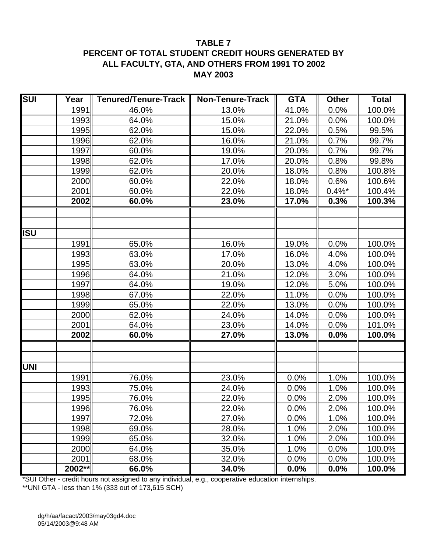# **TABLE 7 PERCENT OF TOTAL STUDENT CREDIT HOURS GENERATED BY ALL FACULTY, GTA, AND OTHERS FROM 1991 TO 2002 MAY 2003**

| <b>SUI</b> | Year   | <b>Tenured/Tenure-Track</b> | <b>Non-Tenure-Track</b> | <b>GTA</b> | <b>Other</b> | <b>Total</b> |
|------------|--------|-----------------------------|-------------------------|------------|--------------|--------------|
|            | 1991   | 46.0%                       | 13.0%                   | 41.0%      | 0.0%         | 100.0%       |
|            | 1993   | 64.0%                       | 15.0%                   | 21.0%      | 0.0%         | 100.0%       |
|            | 1995   | 62.0%                       | 15.0%                   | 22.0%      | 0.5%         | 99.5%        |
|            | 1996   | 62.0%                       | 16.0%                   | 21.0%      | 0.7%         | 99.7%        |
|            | 1997   | 60.0%                       | 19.0%                   | 20.0%      | 0.7%         | 99.7%        |
|            | 1998   | 62.0%                       | 17.0%                   | 20.0%      | 0.8%         | 99.8%        |
|            | 1999   | 62.0%                       | 20.0%                   | 18.0%      | 0.8%         | 100.8%       |
|            | 2000   | 60.0%                       | 22.0%                   | 18.0%      | 0.6%         | 100.6%       |
|            | 2001   | 60.0%                       | 22.0%                   | 18.0%      | $0.4\%$ *    | 100.4%       |
|            | 2002   | 60.0%                       | 23.0%                   | 17.0%      | 0.3%         | 100.3%       |
|            |        |                             |                         |            |              |              |
| <b>ISU</b> |        |                             |                         |            |              |              |
|            | 1991   | 65.0%                       | 16.0%                   | 19.0%      | 0.0%         | 100.0%       |
|            | 1993   | 63.0%                       | 17.0%                   | 16.0%      | 4.0%         | 100.0%       |
|            | 1995   | 63.0%                       | 20.0%                   | 13.0%      | 4.0%         | 100.0%       |
|            | 1996   | 64.0%                       | 21.0%                   | 12.0%      | 3.0%         | 100.0%       |
|            | 1997   | 64.0%                       | 19.0%                   | 12.0%      | 5.0%         | 100.0%       |
|            | 1998   | 67.0%                       | 22.0%                   | 11.0%      | 0.0%         | 100.0%       |
|            | 1999   | 65.0%                       | 22.0%                   | 13.0%      | 0.0%         | 100.0%       |
|            | 2000   | 62.0%                       | 24.0%                   | 14.0%      | 0.0%         | 100.0%       |
|            | 2001   | 64.0%                       | 23.0%                   | 14.0%      | 0.0%         | 101.0%       |
|            | 2002   | 60.0%                       | 27.0%                   | 13.0%      | 0.0%         | 100.0%       |
|            |        |                             |                         |            |              |              |
| <b>UNI</b> |        |                             |                         |            |              |              |
|            | 1991   | 76.0%                       | 23.0%                   | 0.0%       | 1.0%         | 100.0%       |
|            | 1993   | 75.0%                       | 24.0%                   | 0.0%       | 1.0%         | 100.0%       |
|            | 1995   | 76.0%                       | 22.0%                   | 0.0%       | 2.0%         | 100.0%       |
|            | 1996   | 76.0%                       | 22.0%                   | 0.0%       | 2.0%         | 100.0%       |
|            | 1997   | 72.0%                       | 27.0%                   | 0.0%       | 1.0%         | 100.0%       |
|            | 1998   | 69.0%                       | 28.0%                   | 1.0%       | 2.0%         | 100.0%       |
|            | 1999   | 65.0%                       | 32.0%                   | 1.0%       | 2.0%         | 100.0%       |
|            | 2000   | 64.0%                       | 35.0%                   | 1.0%       | 0.0%         | 100.0%       |
|            | 2001   | 68.0%                       | 32.0%                   | 0.0%       | 0.0%         | 100.0%       |
|            | 2002** | 66.0%                       | 34.0%                   | 0.0%       | 0.0%         | 100.0%       |

\*SUI Other - credit hours not assigned to any individual, e.g., cooperative education internships.

\*\*UNI GTA - less than 1% (333 out of 173,615 SCH)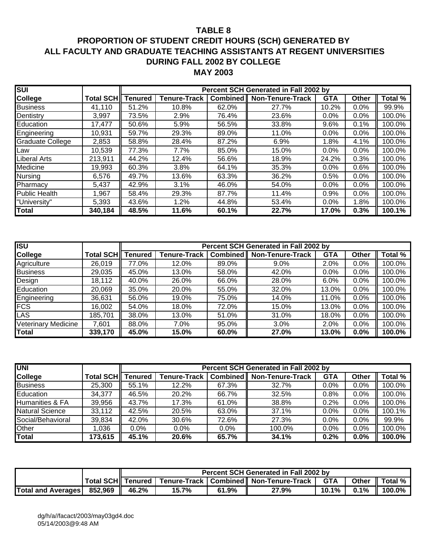## **TABLE 8 PROPORTION OF STUDENT CREDIT HOURS (SCH) GENERATED BY ALL FACULTY AND GRADUATE TEACHING ASSISTANTS AT REGENT UNIVERSITIES DURING FALL 2002 BY COLLEGE MAY 2003**

| <b>SUI</b>           |                  |                |                     |       | Percent SCH Generated in Fall 2002 by |            |       |         |
|----------------------|------------------|----------------|---------------------|-------|---------------------------------------|------------|-------|---------|
| <b>College</b>       | <b>Total SCH</b> | <b>Tenured</b> | <b>Tenure-Track</b> |       | Combined   Non-Tenure-Track           | <b>GTA</b> | Other | Total % |
| <b>Business</b>      | 41,110           | 51.2%          | 10.8%               | 62.0% | 27.7%                                 | 10.2%      | 0.0%  | 99.9%   |
| Dentistry            | 3,997            | 73.5%          | 2.9%                | 76.4% | 23.6%                                 | $0.0\%$    | 0.0%  | 100.0%  |
| Education            | 17,477           | 50.6%          | 5.9%                | 56.5% | 33.8%                                 | 9.6%       | 0.1%  | 100.0%  |
| Engineering          | 10,931           | 59.7%          | 29.3%               | 89.0% | 11.0%                                 | $0.0\%$    | 0.0%  | 100.0%  |
| Graduate College     | 2,853            | 58.8%          | 28.4%               | 87.2% | 6.9%                                  | 1.8%       | 4.1%  | 100.0%  |
| Law                  | 10,539           | 77.3%          | 7.7%                | 85.0% | 15.0%                                 | 0.0%       | 0.0%  | 100.0%  |
| <b>Liberal Arts</b>  | 213,911          | 44.2%          | 12.4%               | 56.6% | 18.9%                                 | 24.2%      | 0.3%  | 100.0%  |
| Medicine             | 19,993           | 60.3%          | 3.8%                | 64.1% | 35.3%                                 | 0.0%       | 0.6%  | 100.0%  |
| Nursing              | 6,576            | 49.7%          | 13.6%               | 63.3% | 36.2%                                 | 0.5%       | 0.0%  | 100.0%  |
| Pharmacy             | 5,437            | 42.9%          | 3.1%                | 46.0% | 54.0%                                 | 0.0%       | 0.0%  | 100.0%  |
| <b>Public Health</b> | 1,967            | 58.4%          | 29.3%               | 87.7% | 11.4%                                 | 0.9%       | 0.0%  | 100.0%  |
| "University"         | 5,393            | 43.6%          | 1.2%                | 44.8% | 53.4%                                 | 0.0%       | 1.8%  | 100.0%  |
| <b>Total</b>         | 340,184          | 48.5%          | 11.6%               | 60.1% | 22.7%                                 | 17.0%      | 0.3%  | 100.1%  |

| <b>ISU</b>                 |            |                | Percent SCH Generated in Fall 2002 by |       |                             |            |       |         |  |  |
|----------------------------|------------|----------------|---------------------------------------|-------|-----------------------------|------------|-------|---------|--|--|
| <b>College</b>             | Total SCH∥ | <b>Tenured</b> | <b>Tenure-Track</b>                   |       | Combined   Non-Tenure-Track | <b>GTA</b> | Other | Total % |  |  |
| Agriculture                | 26,019     | 77.0%          | 12.0%                                 | 89.0% | $9.0\%$                     | 2.0%       | 0.0%  | 100.0%  |  |  |
| <b>Business</b>            | 29.035     | 45.0%          | 13.0%                                 | 58.0% | 42.0%                       | 0.0%       | 0.0%  | 100.0%  |  |  |
| Design                     | 18,112     | 40.0%          | 26.0%                                 | 66.0% | 28.0%                       | 6.0%       | 0.0%  | 100.0%  |  |  |
| Education                  | 20,069     | 35.0%          | 20.0%                                 | 55.0% | 32.0%                       | 13.0%      | 0.0%  | 100.0%  |  |  |
| Engineering                | 36,631     | 56.0%          | 19.0%                                 | 75.0% | 14.0%                       | 11.0%      | 0.0%  | 100.0%  |  |  |
| <b>FCS</b>                 | 16,002     | 54.0%          | 18.0%                                 | 72.0% | 15.0%                       | 13.0%      | 0.0%  | 100.0%  |  |  |
| <b>LAS</b>                 | 185,701    | 38.0%          | 13.0%                                 | 51.0% | 31.0%                       | 18.0%      | 0.0%  | 100.0%  |  |  |
| <b>Veterinary Medicine</b> | 7,601      | 88.0%          | 7.0%                                  | 95.0% | 3.0%                        | 2.0%       | 0.0%  | 100.0%  |  |  |
| <b>Total</b>               | 339,170    | 45.0%          | 15.0%                                 | 60.0% | 27.0%                       | 13.0%      | 0.0%  | 100.0%  |  |  |

| <b>UNI</b>             |            |                | Percent SCH Generated in Fall 2002 by |       |                             |            |       |         |  |  |  |
|------------------------|------------|----------------|---------------------------------------|-------|-----------------------------|------------|-------|---------|--|--|--|
| <b>College</b>         | Total SCH∥ | <b>Tenured</b> | <b>Tenure-Track</b>                   |       | Combined   Non-Tenure-Track | <b>GTA</b> | Other | Total % |  |  |  |
| <b>Business</b>        | 25,300     | 55.1%          | 12.2%                                 | 67.3% | 32.7%                       | 0.0%       | 0.0%  | 100.0%  |  |  |  |
| Education              | 34.377     | 46.5%          | 20.2%                                 | 66.7% | 32.5%                       | 0.8%       | 0.0%  | 100.0%  |  |  |  |
| Humanities & FA        | 39,956     | 43.7%          | 17.3%                                 | 61.0% | 38.8%                       | 0.2%       | 0.0%  | 100.0%  |  |  |  |
| <b>Natural Science</b> | 33,112     | 42.5%          | 20.5%                                 | 63.0% | 37.1%                       | $0.0\%$    | 0.0%  | 100.1%  |  |  |  |
| Social/Behavioral      | 39,834     | 42.0%          | 30.6%                                 | 72.6% | 27.3%                       | 0.0%       | 0.0%  | 99.9%   |  |  |  |
| Other                  | 1,036      | $0.0\%$        | 0.0%                                  | 0.0%  | 100.0%                      | $0.0\%$    | 0.0%  | 100.0%  |  |  |  |
| <b>Total</b>           | 173,615    | 45.1%          | 20.6%                                 | 65.7% | 34.1%                       | 0.2%       | 0.0%  | 100.0%  |  |  |  |

|                           |         |       | Percent SCH Generated in Fall 2002 by |       |       |            |              |                     |  |  |  |
|---------------------------|---------|-------|---------------------------------------|-------|-------|------------|--------------|---------------------|--|--|--|
|                           |         |       |                                       |       |       | <b>GTA</b> | <b>Other</b> | $\parallel$ Total % |  |  |  |
| <b>Total and Averages</b> | 852,969 | 46.2% | 15.7%                                 | 61.9% | 27.9% | 10.1%      | 0.1%         | 100.0%              |  |  |  |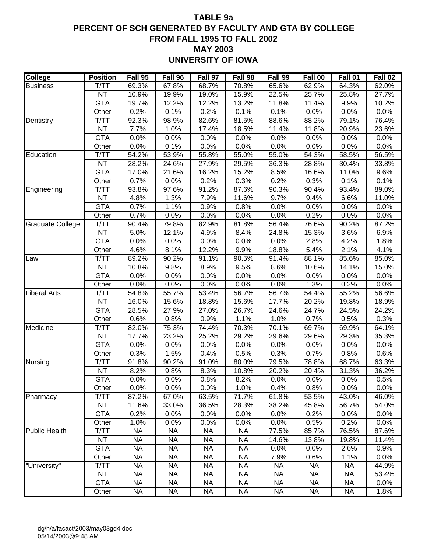# **TABLE 9a PERCENT OF SCH GENERATED BY FACULTY AND GTA BY COLLEGE FROM FALL 1995 TO FALL 2002 MAY 2003 UNIVERSITY OF IOWA**

| <b>College</b>          | <b>Position</b> | Fall 95   | Fall 96   | Fall 97   | Fall 98   | Fall 99   | Fall 00   | Fall 01   | Fall 02 |
|-------------------------|-----------------|-----------|-----------|-----------|-----------|-----------|-----------|-----------|---------|
| <b>Business</b>         | T/TT            | 69.3%     | 67.8%     | 68.7%     | 70.8%     | 65.6%     | 62.9%     | 64.3%     | 62.0%   |
|                         | <b>NT</b>       | 10.9%     | 19.9%     | 19.0%     | 15.9%     | 22.5%     | 25.7%     | 25.8%     | 27.7%   |
|                         | <b>GTA</b>      | 19.7%     | 12.2%     | 12.2%     | 13.2%     | 11.8%     | 11.4%     | 9.9%      | 10.2%   |
|                         | Other           | 0.2%      | 0.1%      | 0.2%      | 0.1%      | 0.1%      | 0.0%      | 0.0%      | 0.0%    |
| Dentistry               | T/TT            | 92.3%     | 98.9%     | 82.6%     | 81.5%     | 88.6%     | 88.2%     | 79.1%     | 76.4%   |
|                         | <b>NT</b>       | 7.7%      | 1.0%      | 17.4%     | 18.5%     | 11.4%     | 11.8%     | 20.9%     | 23.6%   |
|                         | <b>GTA</b>      | 0.0%      | 0.0%      | 0.0%      | 0.0%      | 0.0%      | 0.0%      | 0.0%      | 0.0%    |
|                         | Other           | 0.0%      | 0.1%      | 0.0%      | 0.0%      | 0.0%      | 0.0%      | 0.0%      | 0.0%    |
| Education               | T/TT            | 54.2%     | 53.9%     | 55.8%     | 55.0%     | 55.0%     | 54.3%     | 58.5%     | 56.5%   |
|                         | <b>NT</b>       | 28.2%     | 24.6%     | 27.9%     | 29.5%     | 36.3%     | 28.8%     | 30.4%     | 33.8%   |
|                         | <b>GTA</b>      | 17.0%     | 21.6%     | 16.2%     | 15.2%     | 8.5%      | 16.6%     | 11.0%     | 9.6%    |
|                         | Other           | 0.7%      | 0.0%      | 0.2%      | 0.3%      | 0.2%      | 0.3%      | 0.1%      | 0.1%    |
| Engineering             | T/TT            | 93.8%     | 97.6%     | 91.2%     | 87.6%     | 90.3%     | 90.4%     | 93.4%     | 89.0%   |
|                         | <b>NT</b>       | 4.8%      | 1.3%      | 7.9%      | 11.6%     | 9.7%      | 9.4%      | 6.6%      | 11.0%   |
|                         | <b>GTA</b>      | 0.7%      | 1.1%      | 0.9%      | 0.8%      | 0.0%      | 0.0%      | 0.0%      | 0.0%    |
|                         | Other           | 0.7%      | 0.0%      | 0.0%      | 0.0%      | 0.0%      | 0.2%      | 0.0%      | 0.0%    |
| <b>Graduate College</b> | T/TT            | 90.4%     | 79.8%     | 82.9%     | 81.8%     | 56.4%     | 76.6%     | 90.2%     | 87.2%   |
|                         | <b>NT</b>       | 5.0%      | 12.1%     | 4.9%      | 8.4%      | 24.8%     | 15.3%     | 3.6%      | 6.9%    |
|                         | <b>GTA</b>      | 0.0%      | 0.0%      | 0.0%      | 0.0%      | 0.0%      | 2.8%      | 4.2%      | 1.8%    |
|                         | Other           | 4.6%      | 8.1%      | 12.2%     | 9.9%      | 18.8%     | 5.4%      | 2.1%      | 4.1%    |
| Law                     | T/TT            | 89.2%     | 90.2%     | 91.1%     | 90.5%     | 91.4%     | 88.1%     | 85.6%     | 85.0%   |
|                         | <b>NT</b>       | 10.8%     | 9.8%      | 8.9%      | 9.5%      | 8.6%      | 10.6%     | 14.1%     | 15.0%   |
|                         | <b>GTA</b>      | 0.0%      | 0.0%      | 0.0%      | 0.0%      | 0.0%      | 0.0%      | 0.0%      | 0.0%    |
|                         | Other           | 0.0%      | 0.0%      | 0.0%      | 0.0%      | 0.0%      | 1.3%      | 0.2%      | 0.0%    |
| <b>Liberal Arts</b>     | T/TT            | 54.8%     | 55.7%     | 53.4%     | 56.7%     | 56.7%     | 54.4%     | 55.2%     | 56.6%   |
|                         | <b>NT</b>       | 16.0%     | 15.6%     | 18.8%     | 15.6%     | 17.7%     | 20.2%     | 19.8%     | 18.9%   |
|                         | <b>GTA</b>      | 28.5%     | 27.9%     | 27.0%     | 26.7%     | 24.6%     | 24.7%     | 24.5%     | 24.2%   |
|                         | Other           | 0.6%      | 0.8%      | 0.9%      | 1.1%      | 1.0%      | 0.7%      | 0.5%      | 0.3%    |
| Medicine                | T/TT            | 82.0%     | 75.3%     | 74.4%     | 70.3%     | 70.1%     | 69.7%     | 69.9%     | 64.1%   |
|                         | <b>NT</b>       | 17.7%     | 23.2%     | 25.2%     | 29.2%     | 29.6%     | 29.6%     | 29.3%     | 35.3%   |
|                         | <b>GTA</b>      | 0.0%      | 0.0%      | 0.0%      | 0.0%      | 0.0%      | 0.0%      | 0.0%      | 0.0%    |
|                         | Other           | 0.3%      | 1.5%      | 0.4%      | 0.5%      | 0.3%      | 0.7%      | 0.8%      | 0.6%    |
| Nursing                 | T/TT            | 91.8%     | 90.2%     | 91.0%     | 80.0%     | 79.5%     | 78.8%     | 68.7%     | 63.3%   |
|                         | <b>NT</b>       | 8.2%      | 9.8%      | 8.3%      | 10.8%     | 20.2%     | 20.4%     | 31.3%     | 36.2%   |
|                         | <b>GTA</b>      | 0.0%      | 0.0%      | 0.8%      | 8.2%      | 0.0%      | 0.0%      | 0.0%      | 0.5%    |
|                         | Other           | 0.0%      | 0.0%      | 0.0%      | 1.0%      | 0.4%      | 0.8%      | 0.0%      | 0.0%    |
| Pharmacy                | T/TT            | 87.2%     | 67.0%     | 63.5%     | 71.7%     | 61.8%     | 53.5%     | 43.0%     | 46.0%   |
|                         | <b>NT</b>       | 11.6%     | 33.0%     | 36.5%     | 28.3%     | 38.2%     | 45.8%     | 56.7%     | 54.0%   |
|                         | <b>GTA</b>      | 0.2%      | 0.0%      | 0.0%      | 0.0%      | 0.0%      | 0.2%      | 0.0%      | 0.0%    |
|                         | Other           | 1.0%      | 0.0%      | 0.0%      | 0.0%      | 0.0%      | 0.5%      | 0.2%      | 0.0%    |
| <b>Public Health</b>    | T/TT            | <b>NA</b> | <b>NA</b> | <b>NA</b> | <b>NA</b> | 77.5%     | 85.7%     | 76.5%     | 87.6%   |
|                         | <b>NT</b>       | <b>NA</b> | <b>NA</b> | <b>NA</b> | <b>NA</b> | 14.6%     | 13.8%     | 19.8%     | 11.4%   |
|                         | <b>GTA</b>      | <b>NA</b> | <b>NA</b> | <b>NA</b> | <b>NA</b> | 0.0%      | 0.0%      | 2.6%      | 0.9%    |
|                         | Other           | <b>NA</b> | <b>NA</b> | <b>NA</b> | <b>NA</b> | 7.9%      | 0.6%      | 1.1%      | 0.0%    |
| "University"            | T/TT            | <b>NA</b> | <b>NA</b> | <b>NA</b> | <b>NA</b> | <b>NA</b> | NA        | <b>NA</b> | 44.9%   |
|                         | <b>NT</b>       | <b>NA</b> | <b>NA</b> | <b>NA</b> | <b>NA</b> | NA        | <b>NA</b> | <b>NA</b> | 53.4%   |
|                         | <b>GTA</b>      | <b>NA</b> | <b>NA</b> | <b>NA</b> | <b>NA</b> | <b>NA</b> | NA        | <b>NA</b> | 0.0%    |
|                         | Other           | <b>NA</b> | <b>NA</b> | <b>NA</b> | <b>NA</b> | <b>NA</b> | <b>NA</b> | <b>NA</b> | 1.8%    |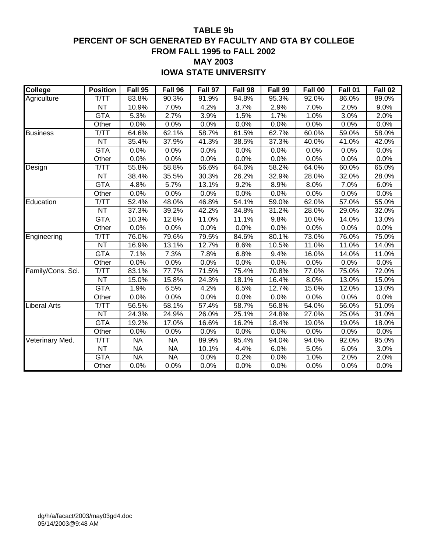# **TABLE 9b PERCENT OF SCH GENERATED BY FACULTY AND GTA BY COLLEGE FROM FALL 1995 to FALL 2002 MAY 2003**

# **IOWA STATE UNIVERSITY**

| <b>College</b>      | <b>Position</b>   | Fall 95   | Fall 96   | Fall 97 | Fall 98 | Fall 99 | Fall 00 | Fall 01 | Fall 02 |
|---------------------|-------------------|-----------|-----------|---------|---------|---------|---------|---------|---------|
| Agriculture         | T/TT              | 83.8%     | 90.3%     | 91.9%   | 94.8%   | 95.3%   | 92.0%   | 86.0%   | 89.0%   |
|                     | <b>NT</b>         | 10.9%     | 7.0%      | 4.2%    | 3.7%    | 2.9%    | 7.0%    | 2.0%    | 9.0%    |
|                     | <b>GTA</b>        | 5.3%      | 2.7%      | 3.9%    | 1.5%    | 1.7%    | 1.0%    | 3.0%    | 2.0%    |
|                     | Other             | 0.0%      | 0.0%      | 0.0%    | 0.0%    | 0.0%    | 0.0%    | 0.0%    | 0.0%    |
| <b>Business</b>     | T/TT              | 64.6%     | 62.1%     | 58.7%   | 61.5%   | 62.7%   | 60.0%   | 59.0%   | 58.0%   |
|                     | <b>NT</b>         | 35.4%     | 37.9%     | 41.3%   | 38.5%   | 37.3%   | 40.0%   | 41.0%   | 42.0%   |
|                     | <b>GTA</b>        | 0.0%      | 0.0%      | 0.0%    | 0.0%    | 0.0%    | 0.0%    | 0.0%    | 0.0%    |
|                     | Other             | 0.0%      | 0.0%      | 0.0%    | 0.0%    | 0.0%    | 0.0%    | 0.0%    | 0.0%    |
| Design              | T/TT              | 55.8%     | 58.8%     | 56.6%   | 64.6%   | 58.2%   | 64.0%   | 60.0%   | 65.0%   |
|                     | <b>NT</b>         | 38.4%     | 35.5%     | 30.3%   | 26.2%   | 32.9%   | 28.0%   | 32.0%   | 28.0%   |
|                     | <b>GTA</b>        | 4.8%      | 5.7%      | 13.1%   | 9.2%    | 8.9%    | 8.0%    | 7.0%    | 6.0%    |
|                     | Other             | 0.0%      | 0.0%      | 0.0%    | 0.0%    | 0.0%    | 0.0%    | 0.0%    | 0.0%    |
| Education           | T/TT              | 52.4%     | 48.0%     | 46.8%   | 54.1%   | 59.0%   | 62.0%   | 57.0%   | 55.0%   |
|                     | NT                | 37.3%     | 39.2%     | 42.2%   | 34.8%   | 31.2%   | 28.0%   | 29.0%   | 32.0%   |
|                     | <b>GTA</b>        | 10.3%     | 12.8%     | 11.0%   | 11.1%   | 9.8%    | 10.0%   | 14.0%   | 13.0%   |
|                     | Other             | 0.0%      | 0.0%      | 0.0%    | 0.0%    | 0.0%    | 0.0%    | 0.0%    | 0.0%    |
| Engineering         | T/TT              | 76.0%     | 79.6%     | 79.5%   | 84.6%   | 80.1%   | 73.0%   | 76.0%   | 75.0%   |
|                     | NT.               | 16.9%     | 13.1%     | 12.7%   | 8.6%    | 10.5%   | 11.0%   | 11.0%   | 14.0%   |
|                     | <b>GTA</b>        | 7.1%      | 7.3%      | 7.8%    | 6.8%    | 9.4%    | 16.0%   | 14.0%   | 11.0%   |
|                     | Other             | 0.0%      | 0.0%      | 0.0%    | 0.0%    | 0.0%    | 0.0%    | 0.0%    | 0.0%    |
| Family/Cons. Sci.   | $\overline{T}/TT$ | 83.1%     | 77.7%     | 71.5%   | 75.4%   | 70.8%   | 77.0%   | 75.0%   | 72.0%   |
|                     | <b>NT</b>         | 15.0%     | 15.8%     | 24.3%   | 18.1%   | 16.4%   | 8.0%    | 13.0%   | 15.0%   |
|                     | <b>GTA</b>        | 1.9%      | 6.5%      | 4.2%    | 6.5%    | 12.7%   | 15.0%   | 12.0%   | 13.0%   |
|                     | Other             | 0.0%      | 0.0%      | 0.0%    | 0.0%    | 0.0%    | 0.0%    | 0.0%    | 0.0%    |
| <b>Liberal Arts</b> | T/TT              | 56.5%     | 58.1%     | 57.4%   | 58.7%   | 56.8%   | 54.0%   | 56.0%   | 51.0%   |
|                     | <b>NT</b>         | 24.3%     | 24.9%     | 26.0%   | 25.1%   | 24.8%   | 27.0%   | 25.0%   | 31.0%   |
|                     | <b>GTA</b>        | 19.2%     | 17.0%     | 16.6%   | 16.2%   | 18.4%   | 19.0%   | 19.0%   | 18.0%   |
|                     | Other             | 0.0%      | 0.0%      | 0.0%    | 0.0%    | 0.0%    | 0.0%    | 0.0%    | 0.0%    |
| Veterinary Med.     | T/TT              | <b>NA</b> | <b>NA</b> | 89.9%   | 95.4%   | 94.0%   | 94.0%   | 92.0%   | 95.0%   |
|                     | <b>NT</b>         | <b>NA</b> | <b>NA</b> | 10.1%   | 4.4%    | 6.0%    | 5.0%    | 6.0%    | 3.0%    |
|                     | <b>GTA</b>        | <b>NA</b> | <b>NA</b> | 0.0%    | 0.2%    | 0.0%    | 1.0%    | 2.0%    | 2.0%    |
|                     | Other             | 0.0%      | 0.0%      | 0.0%    | 0.0%    | 0.0%    | 0.0%    | 0.0%    | 0.0%    |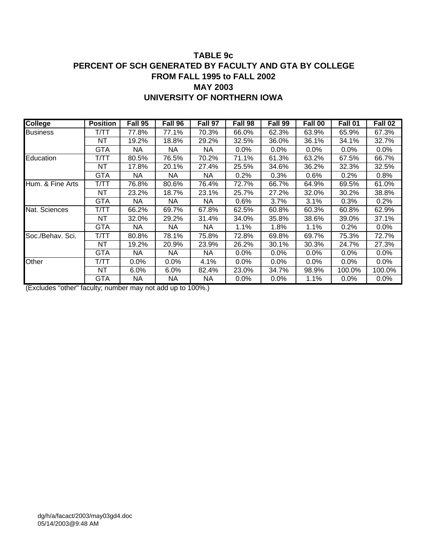## **TABLE 9c PERCENT OF SCH GENERATED BY FACULTY AND GTA BY COLLEGE FROM FALL 1995 to FALL 2002 MAY 2003 UNIVERSITY OF NORTHERN IOWA**

| <b>College</b>   | <b>Position</b> | Fall 95 | Fall 96 | Fall 97 | Fall 98 | Fall 99 | Fall 00 | Fall 01 | Fall 02 |
|------------------|-----------------|---------|---------|---------|---------|---------|---------|---------|---------|
| <b>Business</b>  | Т/ТТ            | 77.8%   | 77.1%   | 70.3%   | 66.0%   | 62.3%   | 63.9%   | 65.9%   | 67.3%   |
|                  | ΝT              | 19.2%   | 18.8%   | 29.2%   | 32.5%   | 36.0%   | 36.1%   | 34.1%   | 32.7%   |
|                  | GTA             | NA.     | ΝA      | NA.     | $0.0\%$ | $0.0\%$ | $0.0\%$ | $0.0\%$ | $0.0\%$ |
| Education        | T/TT            | 80.5%   | 76.5%   | 70.2%   | 71.1%   | 61.3%   | 63.2%   | 67.5%   | 66.7%   |
|                  | ΝT              | 17.8%   | 20.1%   | 27.4%   | 25.5%   | 34.6%   | 36.2%   | 32.3%   | 32.5%   |
|                  | <b>GTA</b>      | NA.     | NA.     | NA.     | 0.2%    | 0.3%    | 0.6%    | 0.2%    | 0.8%    |
| Hum. & Fine Arts | T/TT            | 76.8%   | 80.6%   | 76.4%   | 72.7%   | 66.7%   | 64.9%   | 69.5%   | 61.0%   |
|                  | NT              | 23.2%   | 18.7%   | 23.1%   | 25.7%   | 27.2%   | 32.0%   | 30.2%   | 38.8%   |
|                  | <b>GTA</b>      | NA.     | NA      | NA      | 0.6%    | 3.7%    | 3.1%    | 0.3%    | 0.2%    |
| Nat. Sciences    | T/TT            | 66.2%   | 69.7%   | 67.8%   | 62.5%   | 60.8%   | 60.3%   | 60.8%   | 62.9%   |
|                  | NΤ              | 32.0%   | 29.2%   | 31.4%   | 34.0%   | 35.8%   | 38.6%   | 39.0%   | 37.1%   |
|                  | <b>GTA</b>      | NA.     | NA.     | NA.     | 1.1%    | 1.8%    | 1.1%    | 0.2%    | $0.0\%$ |
| Soc./Behav. Sci. | Т/ТТ            | 80.8%   | 78.1%   | 75.8%   | 72.8%   | 69.8%   | 69.7%   | 75.3%   | 72.7%   |
|                  | NΤ              | 19.2%   | 20.9%   | 23.9%   | 26.2%   | 30.1%   | 30.3%   | 24.7%   | 27.3%   |
|                  | GTA             | NA.     | NA.     | NA.     | $0.0\%$ | $0.0\%$ | $0.0\%$ | $0.0\%$ | $0.0\%$ |
| Other            | T/TT            | $0.0\%$ | $0.0\%$ | 4.1%    | $0.0\%$ | $0.0\%$ | $0.0\%$ | $0.0\%$ | $0.0\%$ |
|                  | ΝT              | 6.0%    | $6.0\%$ | 82.4%   | 23.0%   | 34.7%   | 98.9%   | 100.0%  | 100.0%  |
|                  | <b>GTA</b>      | NA.     | ΝA      | NA.     | $0.0\%$ | $0.0\%$ | $1.1\%$ | $0.0\%$ | $0.0\%$ |

(Excludes "other" faculty; number may not add up to 100%.)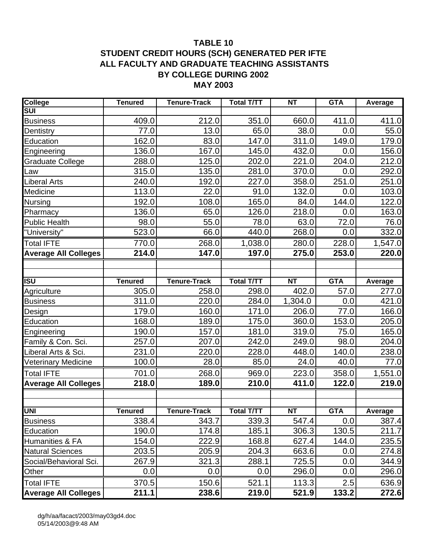## **TABLE 10 STUDENT CREDIT HOURS (SCH) GENERATED PER IFTE ALL FACULTY AND GRADUATE TEACHING ASSISTANTS BY COLLEGE DURING 2002 MAY 2003**

| <b>College</b>              | <b>Tenured</b> | <b>Tenure-Track</b> | <b>Total T/TT</b> | NT                       | <b>GTA</b> | Average          |
|-----------------------------|----------------|---------------------|-------------------|--------------------------|------------|------------------|
| SUI                         |                |                     |                   |                          |            |                  |
| <b>Business</b>             | 409.0          | 212.0               | 351.0             | 660.0                    | 411.0      | 411.0            |
| Dentistry                   | 77.0           | 13.0                | 65.0              | 38.0                     | 0.0        | 55.0             |
| Education                   | 162.0          | 83.0                | 147.0             | 311.0                    | 149.0      | 179.0            |
| Engineering                 | 136.0          | 167.0               | 145.0             | 432.0                    | 0.0        | 156.0            |
| <b>Graduate College</b>     | 288.0          | 125.0               | 202.0             | 221.0                    | 204.0      | 212.0            |
| Law                         | 315.0          | 135.0               | 281.0             | 370.0                    | 0.0        | 292.0            |
| Liberal Arts                | 240.0          | 192.0               | 227.0             | 358.0                    | 251.0      | 251.0            |
| Medicine                    | 113.0          | 22.0                | 91.0              | 132.0                    | 0.0        | 103.0            |
| Nursing                     | 192.0          | 108.0               | 165.0             | 84.0                     | 144.0      | 122.0            |
| Pharmacy                    | 136.0          | 65.0                | 126.0             | 218.0                    | 0.0        | 163.0            |
| <b>Public Health</b>        | 98.0           | 55.0                | 78.0              | 63.0                     | 72.0       | 76.0             |
| "University"                | 523.0          | 66.0                | 440.0             | 268.0                    | 0.0        | 332.0            |
| <b>Total IFTE</b>           | 770.0          | 268.0               | 1,038.0           | 280.0                    | 228.0      | 1,547.0          |
| <b>Average All Colleges</b> | 214.0          | 147.0               | 197.0             | 275.0                    | 253.0      | 220.0            |
|                             |                |                     |                   |                          |            |                  |
|                             |                |                     |                   |                          |            |                  |
| $\overline{\mathsf{ISU}}$   | <b>Tenured</b> | <b>Tenure-Track</b> | <b>Total T/TT</b> | $\overline{\mathsf{NT}}$ | <b>GTA</b> | Average          |
| Agriculture                 | 305.0          | 258.0               | 298.0             | 402.0                    | 57.0       | 277.0            |
| <b>Business</b>             | 311.0          | 220.0               | 284.0             | 1,304.0                  | 0.0        | 421.0            |
| Design                      | 179.0          | 160.0               | 171.0             | 206.0                    | 77.0       | 166.0            |
| Education                   | 168.0          | 189.0               | 175.0             | 360.0                    | 153.0      | 205.0            |
| Engineering                 | 190.0          | 157.0               | 181.0             | 319.0                    | 75.0       | 165.0            |
| Family & Con. Sci.          | 257.0          | 207.0               | 242.0             | 249.0                    | 98.0       | 204.0            |
| Liberal Arts & Sci.         | 231.0          | 220.0               | 228.0             | 448.0                    | 140.0      | 238.0            |
| Veterinary Medicine         | 100.0          | 28.0                | 85.0              | 24.0                     | 40.0       | 77.0             |
| <b>Total IFTE</b>           | 701.0          | 268.0               | 969.0             | 223.0                    | 358.0      | 1,551.0          |
| <b>Average All Colleges</b> | 218.0          | 189.0               | 210.0             | 411.0                    | 122.0      | 219.0            |
|                             |                |                     |                   |                          |            |                  |
| <b>UNI</b>                  | <b>Tenured</b> | <b>Tenure-Track</b> | <b>Total T/TT</b> | $\overline{\text{NT}}$   | <b>GTA</b> |                  |
| <b>Business</b>             | 338.4          | 343.7               | 339.3             | 547.4                    | 0.0        | Average<br>387.4 |
| Education                   | 190.0          | 174.8               | 185.1             | 306.3                    | 130.5      | 211.7            |
| Humanities & FA             | 154.0          | 222.9               | 168.8             | 627.4                    | 144.0      | 235.5            |
| <b>Natural Sciences</b>     | 203.5          | 205.9               | 204.3             | 663.6                    | 0.0        | 274.8            |
| Social/Behavioral Sci.      | 267.9          | 321.3               | 288.1             | 725.5                    | 0.0        | 344.9            |
| Other                       | 0.0            | 0.0                 | 0.0               | 296.0                    | 0.0        | 296.0            |
| <b>Total IFTE</b>           | 370.5          | 150.6               | 521.1             | 113.3                    | 2.5        | 636.9            |
| <b>Average All Colleges</b> | 211.1          | 238.6               | 219.0             | 521.9                    | 133.2      | 272.6            |
|                             |                |                     |                   |                          |            |                  |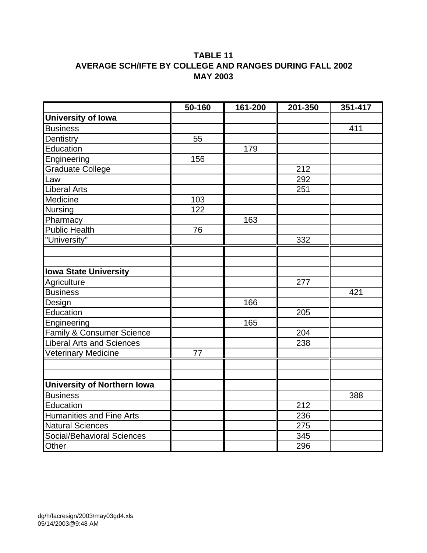# **TABLE 11 AVERAGE SCH/IFTE BY COLLEGE AND RANGES DURING FALL 2002 MAY 2003**

|                                    | 50-160 | 161-200 | 201-350 | $351 - 417$ |
|------------------------------------|--------|---------|---------|-------------|
| <b>University of lowa</b>          |        |         |         |             |
| <b>Business</b>                    |        |         |         | 411         |
| Dentistry                          | 55     |         |         |             |
| Education                          |        | 179     |         |             |
| Engineering                        | 156    |         |         |             |
| <b>Graduate College</b>            |        |         | 212     |             |
| Law                                |        |         | 292     |             |
| <b>Liberal Arts</b>                |        |         | 251     |             |
| Medicine                           | 103    |         |         |             |
| <b>Nursing</b>                     | 122    |         |         |             |
| Pharmacy                           |        | 163     |         |             |
| <b>Public Health</b>               | 76     |         |         |             |
| "University"                       |        |         | 332     |             |
|                                    |        |         |         |             |
|                                    |        |         |         |             |
| <b>Iowa State University</b>       |        |         |         |             |
| Agriculture                        |        |         | 277     |             |
| <b>Business</b>                    |        |         |         | 421         |
| Design                             |        | 166     |         |             |
| Education                          |        |         | 205     |             |
| Engineering                        |        | 165     |         |             |
| Family & Consumer Science          |        |         | 204     |             |
| <b>Liberal Arts and Sciences</b>   |        |         | 238     |             |
| <b>Veterinary Medicine</b>         | 77     |         |         |             |
|                                    |        |         |         |             |
|                                    |        |         |         |             |
| <b>University of Northern Iowa</b> |        |         |         |             |
| <b>Business</b>                    |        |         |         | 388         |
| Education                          |        |         | 212     |             |
| <b>Humanities and Fine Arts</b>    |        |         | 236     |             |
| <b>Natural Sciences</b>            |        |         | 275     |             |
| Social/Behavioral Sciences         |        |         | 345     |             |
| Other                              |        |         | 296     |             |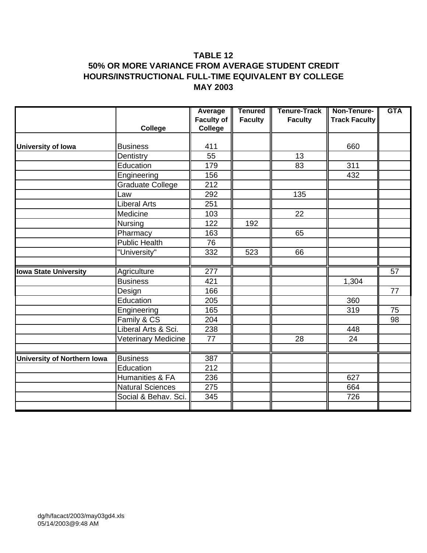# **TABLE 12 50% OR MORE VARIANCE FROM AVERAGE STUDENT CREDIT HOURS/INSTRUCTIONAL FULL-TIME EQUIVALENT BY COLLEGE MAY 2003**

|                                    |                            | Average           | <b>Tenured</b> | <b>Tenure-Track</b> | Non-Tenure-                                                                                        | <b>GTA</b> |
|------------------------------------|----------------------------|-------------------|----------------|---------------------|----------------------------------------------------------------------------------------------------|------------|
|                                    |                            | <b>Faculty of</b> | <b>Faculty</b> | <b>Faculty</b>      |                                                                                                    |            |
|                                    | College                    | College           |                |                     |                                                                                                    |            |
|                                    |                            | 411               |                |                     |                                                                                                    |            |
| University of Iowa                 | <b>Business</b>            | 55                |                |                     |                                                                                                    |            |
|                                    | Dentistry                  | 179               |                | 13<br>83            |                                                                                                    |            |
|                                    | Education                  |                   |                |                     |                                                                                                    |            |
|                                    | Engineering                | 156<br>212        |                |                     |                                                                                                    |            |
|                                    | <b>Graduate College</b>    |                   |                |                     |                                                                                                    |            |
|                                    | Law                        | 292               |                | 135                 | <b>Track Faculty</b><br>660<br>311<br>432<br>1,304<br>360<br>319<br>448<br>24<br>627<br>664<br>726 |            |
|                                    | <b>Liberal Arts</b>        | 251               |                |                     |                                                                                                    |            |
|                                    | Medicine                   | 103               |                | 22                  |                                                                                                    |            |
|                                    | <b>Nursing</b>             | 122               | 192            |                     |                                                                                                    |            |
|                                    | Pharmacy                   | 163               |                | 65                  |                                                                                                    |            |
|                                    | <b>Public Health</b>       | 76                |                |                     |                                                                                                    |            |
|                                    | "University"               | 332               | 523            | 66                  |                                                                                                    |            |
|                                    |                            |                   |                |                     |                                                                                                    |            |
| <b>Iowa State University</b>       | Agriculture                | 277               |                |                     |                                                                                                    | 57         |
|                                    | <b>Business</b>            | 421               |                |                     |                                                                                                    |            |
|                                    | Design                     | 166               |                |                     |                                                                                                    | 77         |
|                                    | Education                  | 205               |                |                     |                                                                                                    |            |
|                                    | Engineering                | 165               |                |                     |                                                                                                    | 75         |
|                                    | Family & CS                | 204               |                |                     |                                                                                                    | 98         |
|                                    | Liberal Arts & Sci.        | 238               |                |                     |                                                                                                    |            |
|                                    | <b>Veterinary Medicine</b> | 77                |                | 28                  |                                                                                                    |            |
|                                    |                            |                   |                |                     |                                                                                                    |            |
| <b>University of Northern Iowa</b> | <b>Business</b>            | 387               |                |                     |                                                                                                    |            |
|                                    | Education                  | 212               |                |                     |                                                                                                    |            |
|                                    | Humanities & FA            | 236               |                |                     |                                                                                                    |            |
|                                    | <b>Natural Sciences</b>    | 275               |                |                     |                                                                                                    |            |
|                                    | Social & Behav. Sci.       | 345               |                |                     |                                                                                                    |            |
|                                    |                            |                   |                |                     |                                                                                                    |            |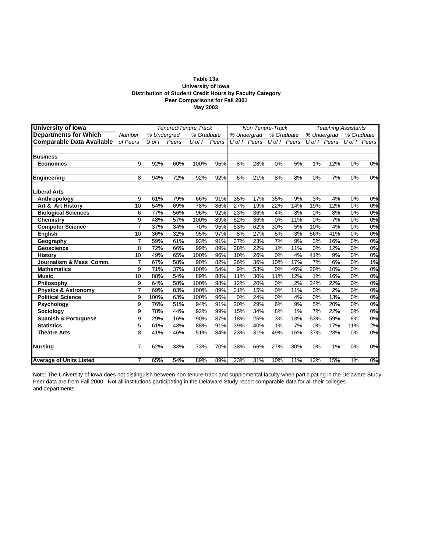#### **May 2003 Table 13a University of Iowa Distribution of Student Credit Hours by Faculty Category Peer Comparisons for Fall 2001**

| University of Iowa               |                |             | Tenured/Tenure Track |            |       |            | Non Tenure-Track |            |            |            |             | <b>Teaching Assistants</b> |            |
|----------------------------------|----------------|-------------|----------------------|------------|-------|------------|------------------|------------|------------|------------|-------------|----------------------------|------------|
| <b>Departments for Which</b>     | Number         | % Undergrad |                      | % Graduate |       |            | % Undergrad      |            | % Graduate |            | % Undergrad |                            | % Graduate |
| <b>Comparable Data Available</b> | of Peers       | $U$ of $I$  | Peers                | $U$ of $I$ | Peers | $U$ of $V$ | Peers            | $U$ of $V$ | Peers      | $U$ of $I$ | Peers       | $U$ of $I$                 | Peers      |
|                                  |                |             |                      |            |       |            |                  |            |            |            |             |                            |            |
| <b>Business</b>                  |                |             |                      |            |       |            |                  |            |            |            |             |                            |            |
| <b>Economics</b>                 | 9              | 92%         | 60%                  | 100%       | 95%   | 8%         | 28%              | 0%         | 5%         | 1%         | 12%         | 0%                         | 0%         |
|                                  |                |             |                      |            |       |            |                  |            |            |            |             |                            |            |
| Engineering                      | 8              | 94%         | 72%                  | 92%        | 92%   | 6%         | 21%              | 8%         | 8%         | 0%         | 7%          | 0%                         | 0%         |
|                                  |                |             |                      |            |       |            |                  |            |            |            |             |                            |            |
| Liberal Arts                     |                |             |                      |            |       |            |                  |            |            |            |             |                            |            |
| Anthropology                     | 9              | 61%         | 79%                  | 66%        | 91%   | 35%        | 17%              | 35%        | 9%         | 3%         | 4%          | 0%                         | 0%         |
| Art & Art History                | 10             | 54%         | 69%                  | 78%        | 86%   | 27%        | 19%              | 22%        | 14%        | 19%        | 12%         | 0%                         | 0%         |
| <b>Biological Sciences</b>       | 6              | 77%         | 56%                  | 96%        | 92%   | 23%        | 36%              | 4%         | 8%         | 0%         | 8%          | 0%                         | 0%         |
| <b>Chemistry</b>                 | 9              | 48%         | 57%                  | 100%       | 89%   | 52%        | 36%              | 0%         | 11%        | 0%         | 7%          | 0%                         | 0%         |
| <b>Computer Science</b>          | $\overline{7}$ | 37%         | 34%                  | 70%        | 95%   | 53%        | 62%              | 30%        | 5%         | 10%        | 4%          | 0%                         | 0%         |
| <b>English</b>                   | 10             | 36%         | 32%                  | 95%        | 97%   | 8%         | 27%              | 5%         | 3%         | 56%        | 41%         | 0%                         | 0%         |
| Geography                        | $\overline{7}$ | 59%         | 61%                  | 93%        | 91%   | 37%        | 23%              | 7%         | 9%         | 3%         | 16%         | 0%                         | 0%         |
| Geoscience                       | 8              | 72%         | 66%                  | 99%        | 89%   | 28%        | 22%              | 1%         | 11%        | 0%         | 12%         | 0%                         | 0%         |
| History                          | 10             | 49%         | 65%                  | 100%       | 96%   | 10%        | 26%              | 0%         | 4%         | 41%        | 9%          | 0%                         | 0%         |
| Journalism & Mass Comm.          | $\overline{7}$ | 67%         | 58%                  | 90%        | 82%   | 26%        | 36%              | 10%        | 17%        | 7%         | 6%          | 0%                         | 1%         |
| <b>Mathematics</b>               | 9              | 71%         | 37%                  | 100%       | 54%   | 9%         | 53%              | 0%         | 46%        | 20%        | 10%         | 0%                         | 0%         |
| <b>Music</b>                     | 10             | 88%         | 54%                  | 89%        | 88%   | 11%        | 30%              | 11%        | 12%        | 1%         | 16%         | 0%                         | 0%         |
| Philosophy                       | 9              | 64%         | 58%                  | 100%       | 98%   | 12%        | 20%              | 0%         | 2%         | 24%        | 22%         | 0%                         | 0%         |
| <b>Physics &amp; Astronomy</b>   | $\overline{7}$ | 69%         | 83%                  | 100%       | 89%   | 31%        | 15%              | 0%         | 11%        | 0%         | 2%          | 0%                         | 0%         |
| <b>Political Science</b>         | 9              | 100%        | 63%                  | 100%       | 96%   | 0%         | 24%              | 0%         | 4%         | 0%         | 13%         | 0%                         | 0%         |
| <b>Psychology</b>                | 9              | 76%         | 51%                  | 94%        | 91%   | 20%        | 29%              | 6%         | 9%         | 5%         | 20%         | 0%                         | 0%         |
| Sociology                        | 9              | 78%         | 44%                  | 92%        | 99%   | 15%        | 34%              | 8%         | 1%         | 7%         | 22%         | 0%                         | 0%         |
| <b>Spanish &amp; Portuguese</b>  | 9              | 29%         | 16%                  | 90%        | 87%   | 18%        | 25%              | 3%         | 13%        | 53%        | 59%         | 8%                         | 0%         |
| <b>Statistics</b>                | 5              | 61%         | 43%                  | 88%        | 91%   | 39%        | 40%              | 1%         | 7%         | 0%         | 17%         | 11%                        | 2%         |
| <b>Theatre Arts</b>              | 8              | 41%         | 46%                  | 51%        | 84%   | 23%        | 31%              | 49%        | 16%        | 37%        | 23%         | 0%                         | 0%         |
|                                  |                |             |                      |            |       |            |                  |            |            |            |             |                            |            |
| <b>Nursing</b>                   | 7              | 62%         | 33%                  | 73%        | 70%   | 38%        | 66%              | 27%        | 30%        | 0%         | 1%          | 0%                         | 0%         |
|                                  |                |             |                      |            |       |            |                  |            |            |            |             |                            |            |
| <b>Average of Units Listed</b>   | 7              | 65%         | 54%                  | 89%        | 89%   | 23%        | 31%              | 10%        | 11%        | 12%        | 15%         | 1%                         | 0%         |

Note: The University of Iowa does not distinguish between non-tenure-track and supplemental faculty when participating in the Delaware Study. Peer data are from Fall 2000. Not all institutions participating in the Delaware Study report comparable data for all their colleges and departments.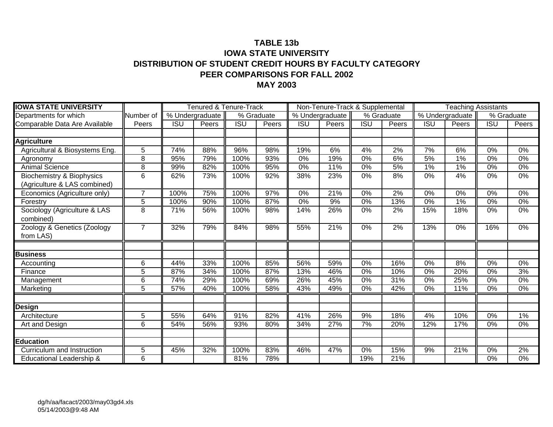## **TABLE 13bIOWA STATE UNIVERSITY DISTRIBUTION OF STUDENT CREDIT HOURS BY FACULTY CATEGORY PEER COMPARISONS FOR FALL 2002MAY 2003**

| <b>IOWA STATE UNIVERSITY</b>              |                |            | <b>Tenured &amp; Tenure-Track</b> |            |            |            | Non-Tenure-Track & Supplemental |            |            |            |                 | <b>Teaching Assistants</b> |            |
|-------------------------------------------|----------------|------------|-----------------------------------|------------|------------|------------|---------------------------------|------------|------------|------------|-----------------|----------------------------|------------|
| Departments for which                     | Number of      |            | % Undergraduate                   |            | % Graduate |            | % Undergraduate                 |            | % Graduate |            | % Undergraduate |                            | % Graduate |
| Comparable Data Are Available             | Peers          | <b>ISU</b> | Peers                             | <b>ISU</b> | Peers      | <b>ISU</b> | Peers                           | <b>ISU</b> | Peers      | <b>ISU</b> | Peers           | $\overline{ISU}$           | Peers      |
|                                           |                |            |                                   |            |            |            |                                 |            |            |            |                 |                            |            |
| <b>Agriculture</b>                        |                |            |                                   |            |            |            |                                 |            |            |            |                 |                            |            |
| Agricultural & Biosystems Eng.            | 5              | 74%        | 88%                               | 96%        | 98%        | 19%        | 6%                              | 4%         | 2%         | 7%         | 6%              | 0%                         | 0%         |
| Agronomy                                  | 8              | 95%        | 79%                               | 100%       | 93%        | 0%         | 19%                             | 0%         | 6%         | 5%         | 1%              | 0%                         | 0%         |
| <b>Animal Science</b>                     | 8              | 99%        | 82%                               | 100%       | 95%        | $0\%$      | 11%                             | $0\%$      | 5%         | 1%         | $1\%$           | $\overline{0\%}$           | 0%         |
| <b>Biochemistry &amp; Biophysics</b>      | 6              | 62%        | 73%                               | 100%       | 92%        | 38%        | 23%                             | 0%         | 8%         | 0%         | 4%              | 0%                         | 0%         |
| (Agriculture & LAS combined)              |                |            |                                   |            |            |            |                                 |            |            |            |                 |                            |            |
| Economics (Agriculture only)              | $\overline{7}$ | 100%       | 75%                               | 100%       | 97%        | 0%         | 21%                             | 0%         | 2%         | 0%         | 0%              | 0%                         | 0%         |
| Forestry                                  | 5              | 100%       | 90%                               | 100%       | 87%        | $0\%$      | 9%                              | 0%         | 13%        | 0%         | 1%              | 0%                         | 0%         |
| Sociology (Agriculture & LAS<br>combined) | 8              | 71%        | 56%                               | 100%       | 98%        | 14%        | 26%                             | 0%         | 2%         | 15%        | 18%             | 0%                         | 0%         |
| Zoology & Genetics (Zoology<br>from LAS)  | $\overline{7}$ | 32%        | 79%                               | 84%        | 98%        | 55%        | 21%                             | 0%         | 2%         | 13%        | 0%              | 16%                        | 0%         |
| <b>Business</b>                           |                |            |                                   |            |            |            |                                 |            |            |            |                 |                            |            |
| Accounting                                | 6              | 44%        | 33%                               | 100%       | 85%        | 56%        | 59%                             | $0\%$      | 16%        | 0%         | 8%              | $\overline{0\%}$           | 0%         |
| Finance                                   | $\overline{5}$ | 87%        | 34%                               | 100%       | 87%        | 13%        | 46%                             | 0%         | 10%        | 0%         | 20%             | 0%                         | 3%         |
| Management                                | 6              | 74%        | 29%                               | 100%       | 69%        | 26%        | 45%                             | 0%         | 31%        | $0\%$      | 25%             | 0%                         | 0%         |
| Marketing                                 | 5              | 57%        | 40%                               | 100%       | 58%        | 43%        | 49%                             | 0%         | 42%        | 0%         | 11%             | 0%                         | 0%         |
| Design                                    |                |            |                                   |            |            |            |                                 |            |            |            |                 |                            |            |
| Architecture                              | 5              | 55%        | 64%                               | 91%        | 82%        | 41%        | 26%                             | 9%         | 18%        | 4%         | 10%             | 0%                         | 1%         |
| Art and Design                            | $6\phantom{1}$ | 54%        | 56%                               | 93%        | 80%        | 34%        | 27%                             | 7%         | 20%        | 12%        | 17%             | 0%                         | 0%         |
| Education                                 |                |            |                                   |            |            |            |                                 |            |            |            |                 |                            |            |
| Curriculum and Instruction                | 5              | 45%        | 32%                               | 100%       | 83%        | 46%        | 47%                             | 0%         | 15%        | 9%         | 21%             | 0%                         | 2%         |
| Educational Leadership &                  | $\overline{6}$ |            |                                   | 81%        | 78%        |            |                                 | 19%        | 21%        |            |                 | 0%                         | $0\%$      |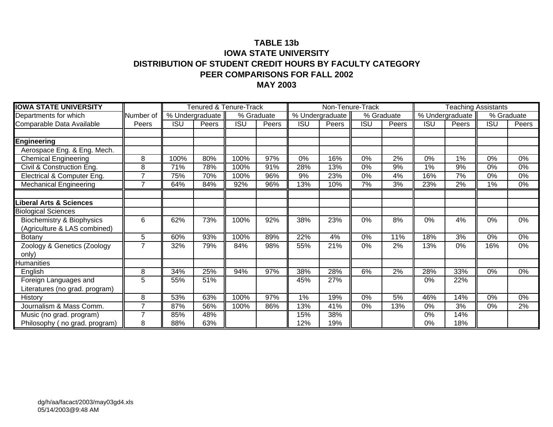## **TABLE 13bIOWA STATE UNIVERSITY DISTRIBUTION OF STUDENT CREDIT HOURS BY FACULTY CATEGORY PEER COMPARISONS FOR FALL 2002MAY 2003**

| <b>IOWA STATE UNIVERSITY</b>         |                |      | <b>Tenured &amp; Tenure-Track</b> |            |            |            | Non-Tenure-Track |            |            |            |                 |            | Teaching Assistants |  |
|--------------------------------------|----------------|------|-----------------------------------|------------|------------|------------|------------------|------------|------------|------------|-----------------|------------|---------------------|--|
| Departments for which                | Number of      |      | % Undergraduate                   |            | % Graduate |            | % Undergraduate  |            | % Graduate |            | % Undergraduate |            | % Graduate          |  |
| Comparable Data Available            | Peers          | ISU  | Peers                             | <b>ISU</b> | Peers      | <b>ISU</b> | Peers            | <b>ISU</b> | Peers      | <b>ISU</b> | Peers           | <b>ISU</b> | Peers               |  |
|                                      |                |      |                                   |            |            |            |                  |            |            |            |                 |            |                     |  |
| <b>Engineering</b>                   |                |      |                                   |            |            |            |                  |            |            |            |                 |            |                     |  |
| Aerospace Eng. & Eng. Mech.          |                |      |                                   |            |            |            |                  |            |            |            |                 |            |                     |  |
| Chemical Engineering                 | 8              | 100% | 80%                               | 100%       | 97%        | 0%         | 16%              | 0%         | 2%         | 0%         | 1%              | 0%         | 0%                  |  |
| Civil & Construction Eng.            | 8              | 71%  | 78%                               | 100%       | 91%        | 28%        | 13%              | 0%         | 9%         | 1%         | 9%              | 0%         | 0%                  |  |
| Electrical & Computer Eng.           | $\overline{7}$ | 75%  | 70%                               | 100%       | 96%        | 9%         | 23%              | 0%         | 4%         | 16%        | 7%              | 0%         | 0%                  |  |
| <b>Mechanical Engineering</b>        | 7              | 64%  | 84%                               | 92%        | 96%        | 13%        | 10%              | 7%         | 3%         | 23%        | 2%              | 1%         | 0%                  |  |
|                                      |                |      |                                   |            |            |            |                  |            |            |            |                 |            |                     |  |
| <b>Liberal Arts &amp; Sciences</b>   |                |      |                                   |            |            |            |                  |            |            |            |                 |            |                     |  |
| <b>Biological Sciences</b>           |                |      |                                   |            |            |            |                  |            |            |            |                 |            |                     |  |
| <b>Biochemistry &amp; Biophysics</b> | 6              | 62%  | 73%                               | 100%       | 92%        | 38%        | 23%              | 0%         | 8%         | 0%         | 4%              | 0%         | 0%                  |  |
| (Agriculture & LAS combined)         |                |      |                                   |            |            |            |                  |            |            |            |                 |            |                     |  |
| Botany                               | 5              | 60%  | 93%                               | 100%       | 89%        | 22%        | 4%               | 0%         | 11%        | 18%        | 3%              | 0%         | 0%                  |  |
| Zoology & Genetics (Zoology          | $\overline{7}$ | 32%  | 79%                               | 84%        | 98%        | 55%        | 21%              | 0%         | 2%         | 13%        | 0%              | 16%        | $0\%$               |  |
| only)                                |                |      |                                   |            |            |            |                  |            |            |            |                 |            |                     |  |
| Humanities                           |                |      |                                   |            |            |            |                  |            |            |            |                 |            |                     |  |
| English                              | 8              | 34%  | 25%                               | 94%        | 97%        | 38%        | 28%              | 6%         | 2%         | 28%        | 33%             | $0\%$      | 0%                  |  |
| Foreign Languages and                | 5              | 55%  | 51%                               |            |            | 45%        | 27%              |            |            | 0%         | 22%             |            |                     |  |
| Literatures (no grad. program)       |                |      |                                   |            |            |            |                  |            |            |            |                 |            |                     |  |
| History                              | 8              | 53%  | 63%                               | 100%       | 97%        | 1%         | 19%              | 0%         | 5%         | 46%        | 14%             | 0%         | 0%                  |  |
| Journalism & Mass Comm.              | $\overline{7}$ | 87%  | 56%                               | 100%       | 86%        | 13%        | 41%              | 0%         | 13%        | 0%         | 3%              | 0%         | 2%                  |  |
| Music (no grad. program)             | $\overline{7}$ | 85%  | 48%                               |            |            | 15%        | 38%              |            |            | 0%         | 14%             |            |                     |  |
| Philosophy (no grad. program)        | 8              | 88%  | 63%                               |            |            | 12%        | 19%              |            |            | 0%         | 18%             |            |                     |  |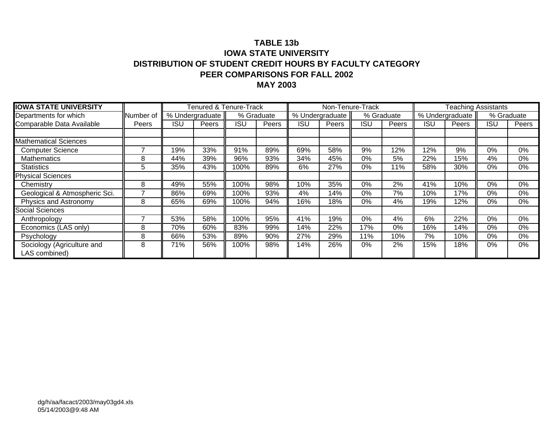# **TABLE 13bIOWA STATE UNIVERSITY DISTRIBUTION OF STUDENT CREDIT HOURS BY FACULTY CATEGORY PEER COMPARISONS FOR FALL 2002MAY 2003**

| <b>IOWA STATE UNIVERSITY</b>                |            |            |                 | <b>Fenured &amp; Tenure-Track</b> |            |            | Non-Tenure-Track |       |            | <b>Teaching Assistants</b> |                 |            |            |
|---------------------------------------------|------------|------------|-----------------|-----------------------------------|------------|------------|------------------|-------|------------|----------------------------|-----------------|------------|------------|
| Departments for which                       | lNumber of |            | % Undergraduate |                                   | % Graduate |            | % Undergraduate  |       | % Graduate |                            | % Undergraduate |            | % Graduate |
| Comparable Data Available                   | Peers      | <b>ISU</b> | Peers           | isu                               | Peers      | <b>ISU</b> | Peers            | ISU   | Peers      | ISU                        | Peers           | <b>ISU</b> | Peers      |
| <b>Mathematical Sciences</b>                |            |            |                 |                                   |            |            |                  |       |            |                            |                 |            |            |
| <b>Computer Science</b>                     |            | 19%        | 33%             | 91%                               | 89%        | 69%        | 58%              | 9%    | 12%        | 12%                        | 9%              | 0%         | 0%         |
| <b>Mathematics</b>                          | 8          | 44%        | 39%             | 96%                               | 93%        | 34%        | 45%              | 0%    | 5%         | 22%                        | 15%             | 4%         | 0%         |
| <b>Statistics</b>                           | 5          | 35%        | 43%             | 100%                              | 89%        | 6%         | 27%              | $0\%$ | 11%        | 58%                        | 30%             | 0%         | 0%         |
| <b>Physical Sciences</b>                    |            |            |                 |                                   |            |            |                  |       |            |                            |                 |            |            |
| Chemistry                                   | 8          | 49%        | 55%             | 100%                              | 98%        | 10%        | 35%              | 0%    | 2%         | 41%                        | 10%             | $0\%$      | 0%         |
| Geological & Atmospheric Sci.               |            | 86%        | 69%             | 100%                              | 93%        | 4%         | 14%              | 0%    | 7%         | 10%                        | 17%             | 0%         | 0%         |
| Physics and Astronomy                       | 8          | 65%        | 69%             | 100%                              | 94%        | 16%        | 18%              | $0\%$ | 4%         | 19%                        | 12%             | 0%         | $0\%$      |
| <b>Social Sciences</b>                      |            |            |                 |                                   |            |            |                  |       |            |                            |                 |            |            |
| Anthropology                                |            | 53%        | 58%             | 100%                              | 95%        | 41%        | 19%              | 0%    | 4%         | 6%                         | 22%             | 0%         | $0\%$      |
| Economics (LAS only)                        | 8          | 70%        | 60%             | 83%                               | 99%        | 14%        | 22%              | 17%   | 0%         | 16%                        | 14%             | 0%         | $0\%$      |
| Psychology                                  | 8          | 66%        | 53%             | 89%                               | 90%        | 27%        | 29%              | 11%   | 10%        | 7%                         | 10%             | 0%         | 0%         |
| Sociology (Agriculture and<br>LAS combined) | 8          | 71%        | 56%             | 100%                              | 98%        | 14%        | 26%              | 0%    | 2%         | 15%                        | 18%             | 0%         | 0%         |